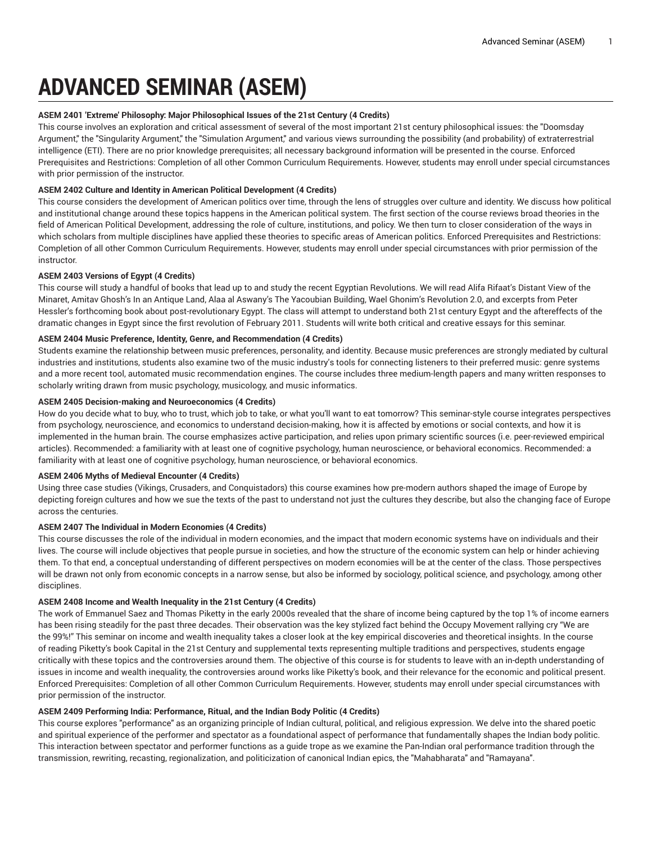# **ADVANCED SEMINAR (ASEM)**

# **ASEM 2401 'Extreme' Philosophy: Major Philosophical Issues of the 21st Century (4 Credits)**

This course involves an exploration and critical assessment of several of the most important 21st century philosophical issues: the "Doomsday Argument," the "Singularity Argument," the "Simulation Argument," and various views surrounding the possibility (and probability) of extraterrestrial intelligence (ETI). There are no prior knowledge prerequisites; all necessary background information will be presented in the course. Enforced Prerequisites and Restrictions: Completion of all other Common Curriculum Requirements. However, students may enroll under special circumstances with prior permission of the instructor.

# **ASEM 2402 Culture and Identity in American Political Development (4 Credits)**

This course considers the development of American politics over time, through the lens of struggles over culture and identity. We discuss how political and institutional change around these topics happens in the American political system. The first section of the course reviews broad theories in the field of American Political Development, addressing the role of culture, institutions, and policy. We then turn to closer consideration of the ways in which scholars from multiple disciplines have applied these theories to specific areas of American politics. Enforced Prerequisites and Restrictions: Completion of all other Common Curriculum Requirements. However, students may enroll under special circumstances with prior permission of the instructor.

# **ASEM 2403 Versions of Egypt (4 Credits)**

This course will study a handful of books that lead up to and study the recent Egyptian Revolutions. We will read Alifa Rifaat's Distant View of the Minaret, Amitav Ghosh's In an Antique Land, Alaa al Aswany's The Yacoubian Building, Wael Ghonim's Revolution 2.0, and excerpts from Peter Hessler's forthcoming book about post-revolutionary Egypt. The class will attempt to understand both 21st century Egypt and the aftereffects of the dramatic changes in Egypt since the first revolution of February 2011. Students will write both critical and creative essays for this seminar.

# **ASEM 2404 Music Preference, Identity, Genre, and Recommendation (4 Credits)**

Students examine the relationship between music preferences, personality, and identity. Because music preferences are strongly mediated by cultural industries and institutions, students also examine two of the music industry's tools for connecting listeners to their preferred music: genre systems and a more recent tool, automated music recommendation engines. The course includes three medium-length papers and many written responses to scholarly writing drawn from music psychology, musicology, and music informatics.

# **ASEM 2405 Decision-making and Neuroeconomics (4 Credits)**

How do you decide what to buy, who to trust, which job to take, or what you'll want to eat tomorrow? This seminar-style course integrates perspectives from psychology, neuroscience, and economics to understand decision-making, how it is affected by emotions or social contexts, and how it is implemented in the human brain. The course emphasizes active participation, and relies upon primary scientific sources (i.e. peer-reviewed empirical articles). Recommended: a familiarity with at least one of cognitive psychology, human neuroscience, or behavioral economics. Recommended: a familiarity with at least one of cognitive psychology, human neuroscience, or behavioral economics.

# **ASEM 2406 Myths of Medieval Encounter (4 Credits)**

Using three case studies (Vikings, Crusaders, and Conquistadors) this course examines how pre-modern authors shaped the image of Europe by depicting foreign cultures and how we sue the texts of the past to understand not just the cultures they describe, but also the changing face of Europe across the centuries.

# **ASEM 2407 The Individual in Modern Economies (4 Credits)**

This course discusses the role of the individual in modern economies, and the impact that modern economic systems have on individuals and their lives. The course will include objectives that people pursue in societies, and how the structure of the economic system can help or hinder achieving them. To that end, a conceptual understanding of different perspectives on modern economies will be at the center of the class. Those perspectives will be drawn not only from economic concepts in a narrow sense, but also be informed by sociology, political science, and psychology, among other disciplines.

# **ASEM 2408 Income and Wealth Inequality in the 21st Century (4 Credits)**

The work of Emmanuel Saez and Thomas Piketty in the early 2000s revealed that the share of income being captured by the top 1% of income earners has been rising steadily for the past three decades. Their observation was the key stylized fact behind the Occupy Movement rallying cry "We are the 99%!" This seminar on income and wealth inequality takes a closer look at the key empirical discoveries and theoretical insights. In the course of reading Piketty's book Capital in the 21st Century and supplemental texts representing multiple traditions and perspectives, students engage critically with these topics and the controversies around them. The objective of this course is for students to leave with an in-depth understanding of issues in income and wealth inequality, the controversies around works like Piketty's book, and their relevance for the economic and political present. Enforced Prerequisites: Completion of all other Common Curriculum Requirements. However, students may enroll under special circumstances with prior permission of the instructor.

# **ASEM 2409 Performing India: Performance, Ritual, and the Indian Body Politic (4 Credits)**

This course explores "performance" as an organizing principle of Indian cultural, political, and religious expression. We delve into the shared poetic and spiritual experience of the performer and spectator as a foundational aspect of performance that fundamentally shapes the Indian body politic. This interaction between spectator and performer functions as a guide trope as we examine the Pan-Indian oral performance tradition through the transmission, rewriting, recasting, regionalization, and politicization of canonical Indian epics, the "Mahabharata" and "Ramayana".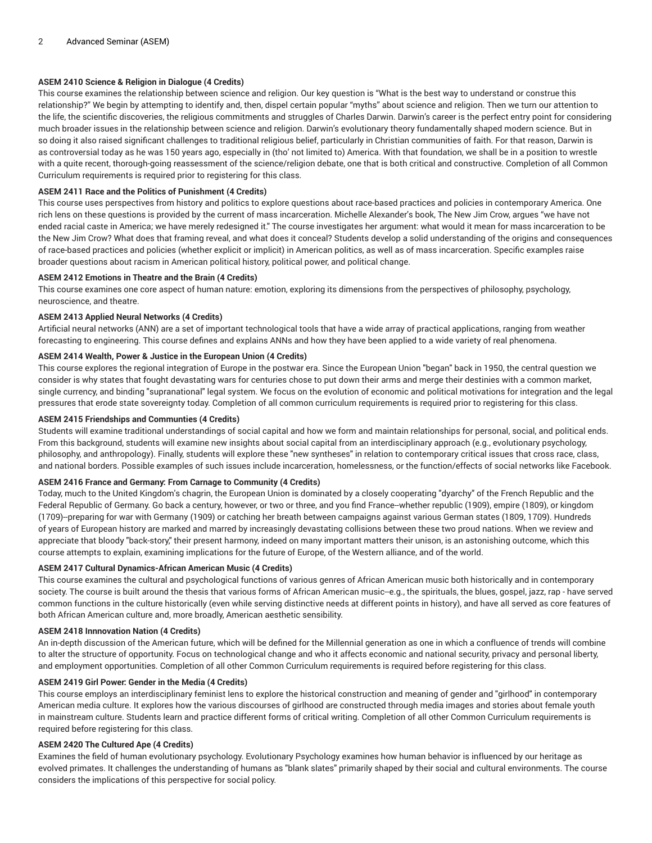# **ASEM 2410 Science & Religion in Dialogue (4 Credits)**

This course examines the relationship between science and religion. Our key question is "What is the best way to understand or construe this relationship?" We begin by attempting to identify and, then, dispel certain popular "myths" about science and religion. Then we turn our attention to the life, the scientific discoveries, the religious commitments and struggles of Charles Darwin. Darwin's career is the perfect entry point for considering much broader issues in the relationship between science and religion. Darwin's evolutionary theory fundamentally shaped modern science. But in so doing it also raised significant challenges to traditional religious belief, particularly in Christian communities of faith. For that reason, Darwin is as controversial today as he was 150 years ago, especially in (tho' not limited to) America. With that foundation, we shall be in a position to wrestle with a quite recent, thorough-going reassessment of the science/religion debate, one that is both critical and constructive. Completion of all Common Curriculum requirements is required prior to registering for this class.

# **ASEM 2411 Race and the Politics of Punishment (4 Credits)**

This course uses perspectives from history and politics to explore questions about race-based practices and policies in contemporary America. One rich lens on these questions is provided by the current of mass incarceration. Michelle Alexander's book, The New Jim Crow, argues "we have not ended racial caste in America; we have merely redesigned it." The course investigates her argument: what would it mean for mass incarceration to be the New Jim Crow? What does that framing reveal, and what does it conceal? Students develop a solid understanding of the origins and consequences of race-based practices and policies (whether explicit or implicit) in American politics, as well as of mass incarceration. Specific examples raise broader questions about racism in American political history, political power, and political change.

#### **ASEM 2412 Emotions in Theatre and the Brain (4 Credits)**

This course examines one core aspect of human nature: emotion, exploring its dimensions from the perspectives of philosophy, psychology, neuroscience, and theatre.

#### **ASEM 2413 Applied Neural Networks (4 Credits)**

Artificial neural networks (ANN) are a set of important technological tools that have a wide array of practical applications, ranging from weather forecasting to engineering. This course defines and explains ANNs and how they have been applied to a wide variety of real phenomena.

# **ASEM 2414 Wealth, Power & Justice in the European Union (4 Credits)**

This course explores the regional integration of Europe in the postwar era. Since the European Union "began" back in 1950, the central question we consider is why states that fought devastating wars for centuries chose to put down their arms and merge their destinies with a common market, single currency, and binding "supranational" legal system. We focus on the evolution of economic and political motivations for integration and the legal pressures that erode state sovereignty today. Completion of all common curriculum requirements is required prior to registering for this class.

#### **ASEM 2415 Friendships and Communties (4 Credits)**

Students will examine traditional understandings of social capital and how we form and maintain relationships for personal, social, and political ends. From this background, students will examine new insights about social capital from an interdisciplinary approach (e.g., evolutionary psychology, philosophy, and anthropology). Finally, students will explore these "new syntheses" in relation to contemporary critical issues that cross race, class, and national borders. Possible examples of such issues include incarceration, homelessness, or the function/effects of social networks like Facebook.

#### **ASEM 2416 France and Germany: From Carnage to Community (4 Credits)**

Today, much to the United Kingdom's chagrin, the European Union is dominated by a closely cooperating "dyarchy" of the French Republic and the Federal Republic of Germany. Go back a century, however, or two or three, and you find France--whether republic (1909), empire (1809), or kingdom (1709)--preparing for war with Germany (1909) or catching her breath between campaigns against various German states (1809, 1709). Hundreds of years of European history are marked and marred by increasingly devastating collisions between these two proud nations. When we review and appreciate that bloody "back-story," their present harmony, indeed on many important matters their unison, is an astonishing outcome, which this course attempts to explain, examining implications for the future of Europe, of the Western alliance, and of the world.

## **ASEM 2417 Cultural Dynamics-African American Music (4 Credits)**

This course examines the cultural and psychological functions of various genres of African American music both historically and in contemporary society. The course is built around the thesis that various forms of African American music--e.g., the spirituals, the blues, gospel, jazz, rap - have served common functions in the culture historically (even while serving distinctive needs at different points in history), and have all served as core features of both African American culture and, more broadly, American aesthetic sensibility.

## **ASEM 2418 Innnovation Nation (4 Credits)**

An in-depth discussion of the American future, which will be defined for the Millennial generation as one in which a confluence of trends will combine to alter the structure of opportunity. Focus on technological change and who it affects economic and national security, privacy and personal liberty, and employment opportunities. Completion of all other Common Curriculum requirements is required before registering for this class.

#### **ASEM 2419 Girl Power: Gender in the Media (4 Credits)**

This course employs an interdisciplinary feminist lens to explore the historical construction and meaning of gender and "girlhood" in contemporary American media culture. It explores how the various discourses of girlhood are constructed through media images and stories about female youth in mainstream culture. Students learn and practice different forms of critical writing. Completion of all other Common Curriculum requirements is required before registering for this class.

## **ASEM 2420 The Cultured Ape (4 Credits)**

Examines the field of human evolutionary psychology. Evolutionary Psychology examines how human behavior is influenced by our heritage as evolved primates. It challenges the understanding of humans as "blank slates" primarily shaped by their social and cultural environments. The course considers the implications of this perspective for social policy.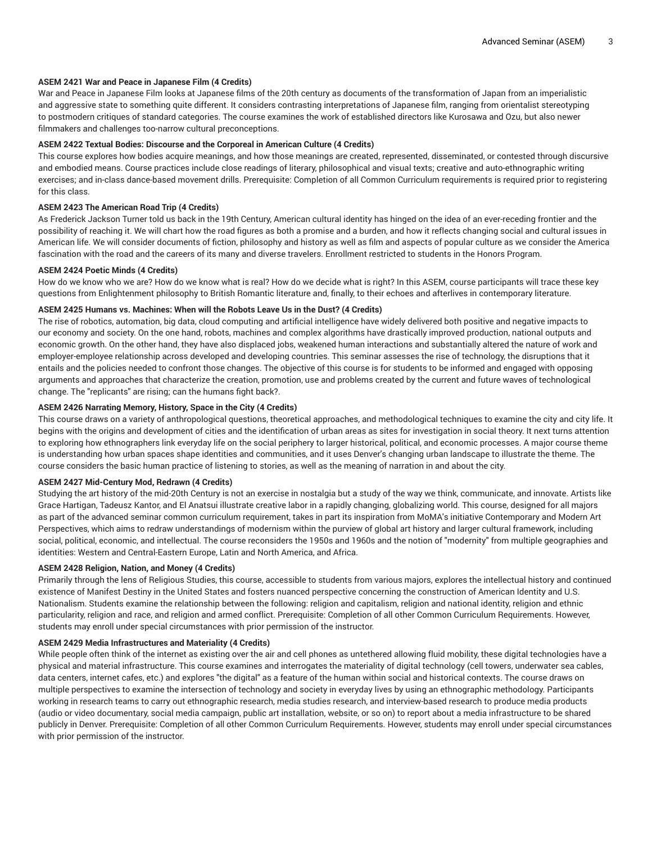## **ASEM 2421 War and Peace in Japanese Film (4 Credits)**

War and Peace in Japanese Film looks at Japanese films of the 20th century as documents of the transformation of Japan from an imperialistic and aggressive state to something quite different. It considers contrasting interpretations of Japanese film, ranging from orientalist stereotyping to postmodern critiques of standard categories. The course examines the work of established directors like Kurosawa and Ozu, but also newer filmmakers and challenges too-narrow cultural preconceptions.

## **ASEM 2422 Textual Bodies: Discourse and the Corporeal in American Culture (4 Credits)**

This course explores how bodies acquire meanings, and how those meanings are created, represented, disseminated, or contested through discursive and embodied means. Course practices include close readings of literary, philosophical and visual texts; creative and auto-ethnographic writing exercises; and in-class dance-based movement drills. Prerequisite: Completion of all Common Curriculum requirements is required prior to registering for this class.

# **ASEM 2423 The American Road Trip (4 Credits)**

As Frederick Jackson Turner told us back in the 19th Century, American cultural identity has hinged on the idea of an ever-receding frontier and the possibility of reaching it. We will chart how the road figures as both a promise and a burden, and how it reflects changing social and cultural issues in American life. We will consider documents of fiction, philosophy and history as well as film and aspects of popular culture as we consider the America fascination with the road and the careers of its many and diverse travelers. Enrollment restricted to students in the Honors Program.

## **ASEM 2424 Poetic Minds (4 Credits)**

How do we know who we are? How do we know what is real? How do we decide what is right? In this ASEM, course participants will trace these key questions from Enlightenment philosophy to British Romantic literature and, finally, to their echoes and afterlives in contemporary literature.

# **ASEM 2425 Humans vs. Machines: When will the Robots Leave Us in the Dust? (4 Credits)**

The rise of robotics, automation, big data, cloud computing and artificial intelligence have widely delivered both positive and negative impacts to our economy and society. On the one hand, robots, machines and complex algorithms have drastically improved production, national outputs and economic growth. On the other hand, they have also displaced jobs, weakened human interactions and substantially altered the nature of work and employer-employee relationship across developed and developing countries. This seminar assesses the rise of technology, the disruptions that it entails and the policies needed to confront those changes. The objective of this course is for students to be informed and engaged with opposing arguments and approaches that characterize the creation, promotion, use and problems created by the current and future waves of technological change. The "replicants" are rising; can the humans fight back?.

## **ASEM 2426 Narrating Memory, History, Space in the City (4 Credits)**

This course draws on a variety of anthropological questions, theoretical approaches, and methodological techniques to examine the city and city life. It begins with the origins and development of cities and the identification of urban areas as sites for investigation in social theory. It next turns attention to exploring how ethnographers link everyday life on the social periphery to larger historical, political, and economic processes. A major course theme is understanding how urban spaces shape identities and communities, and it uses Denver's changing urban landscape to illustrate the theme. The course considers the basic human practice of listening to stories, as well as the meaning of narration in and about the city.

#### **ASEM 2427 Mid-Century Mod, Redrawn (4 Credits)**

Studying the art history of the mid-20th Century is not an exercise in nostalgia but a study of the way we think, communicate, and innovate. Artists like Grace Hartigan, Tadeusz Kantor, and El Anatsui illustrate creative labor in a rapidly changing, globalizing world. This course, designed for all majors as part of the advanced seminar common curriculum requirement, takes in part its inspiration from MoMA's initiative Contemporary and Modern Art Perspectives, which aims to redraw understandings of modernism within the purview of global art history and larger cultural framework, including social, political, economic, and intellectual. The course reconsiders the 1950s and 1960s and the notion of "modernity" from multiple geographies and identities: Western and Central-Eastern Europe, Latin and North America, and Africa.

# **ASEM 2428 Religion, Nation, and Money (4 Credits)**

Primarily through the lens of Religious Studies, this course, accessible to students from various majors, explores the intellectual history and continued existence of Manifest Destiny in the United States and fosters nuanced perspective concerning the construction of American Identity and U.S. Nationalism. Students examine the relationship between the following: religion and capitalism, religion and national identity, religion and ethnic particularity, religion and race, and religion and armed conflict. Prerequisite: Completion of all other Common Curriculum Requirements. However, students may enroll under special circumstances with prior permission of the instructor.

#### **ASEM 2429 Media Infrastructures and Materiality (4 Credits)**

While people often think of the internet as existing over the air and cell phones as untethered allowing fluid mobility, these digital technologies have a physical and material infrastructure. This course examines and interrogates the materiality of digital technology (cell towers, underwater sea cables, data centers, internet cafes, etc.) and explores "the digital" as a feature of the human within social and historical contexts. The course draws on multiple perspectives to examine the intersection of technology and society in everyday lives by using an ethnographic methodology. Participants working in research teams to carry out ethnographic research, media studies research, and interview-based research to produce media products (audio or video documentary, social media campaign, public art installation, website, or so on) to report about a media infrastructure to be shared publicly in Denver. Prerequisite: Completion of all other Common Curriculum Requirements. However, students may enroll under special circumstances with prior permission of the instructor.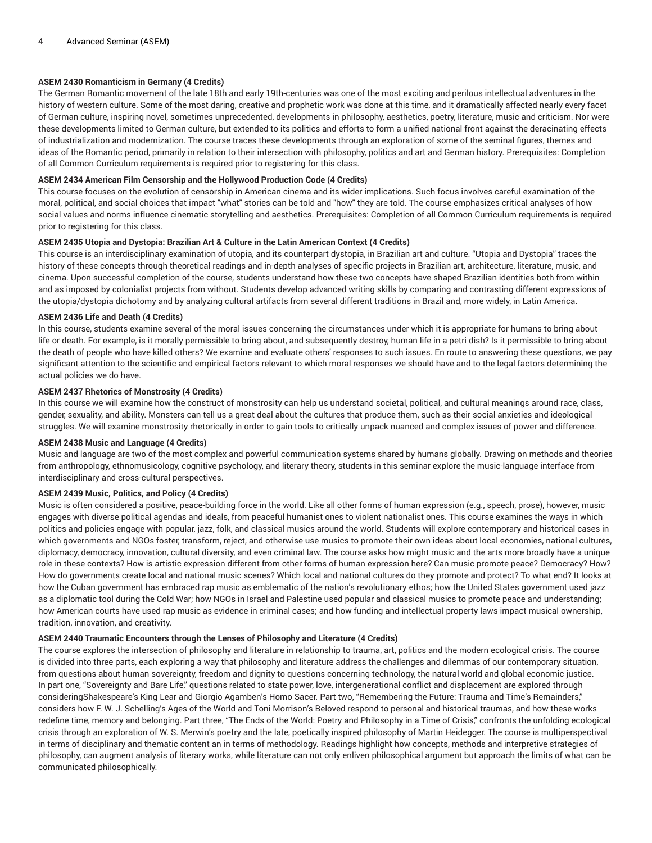# **ASEM 2430 Romanticism in Germany (4 Credits)**

The German Romantic movement of the late 18th and early 19th-centuries was one of the most exciting and perilous intellectual adventures in the history of western culture. Some of the most daring, creative and prophetic work was done at this time, and it dramatically affected nearly every facet of German culture, inspiring novel, sometimes unprecedented, developments in philosophy, aesthetics, poetry, literature, music and criticism. Nor were these developments limited to German culture, but extended to its politics and efforts to form a unified national front against the deracinating effects of industrialization and modernization. The course traces these developments through an exploration of some of the seminal figures, themes and ideas of the Romantic period, primarily in relation to their intersection with philosophy, politics and art and German history. Prerequisites: Completion of all Common Curriculum requirements is required prior to registering for this class.

## **ASEM 2434 American Film Censorship and the Hollywood Production Code (4 Credits)**

This course focuses on the evolution of censorship in American cinema and its wider implications. Such focus involves careful examination of the moral, political, and social choices that impact "what" stories can be told and "how" they are told. The course emphasizes critical analyses of how social values and norms influence cinematic storytelling and aesthetics. Prerequisites: Completion of all Common Curriculum requirements is required prior to registering for this class.

#### **ASEM 2435 Utopia and Dystopia: Brazilian Art & Culture in the Latin American Context (4 Credits)**

This course is an interdisciplinary examination of utopia, and its counterpart dystopia, in Brazilian art and culture. "Utopia and Dystopia" traces the history of these concepts through theoretical readings and in-depth analyses of specific projects in Brazilian art, architecture, literature, music, and cinema. Upon successful completion of the course, students understand how these two concepts have shaped Brazilian identities both from within and as imposed by colonialist projects from without. Students develop advanced writing skills by comparing and contrasting different expressions of the utopia/dystopia dichotomy and by analyzing cultural artifacts from several different traditions in Brazil and, more widely, in Latin America.

## **ASEM 2436 Life and Death (4 Credits)**

In this course, students examine several of the moral issues concerning the circumstances under which it is appropriate for humans to bring about life or death. For example, is it morally permissible to bring about, and subsequently destroy, human life in a petri dish? Is it permissible to bring about the death of people who have killed others? We examine and evaluate others' responses to such issues. En route to answering these questions, we pay significant attention to the scientific and empirical factors relevant to which moral responses we should have and to the legal factors determining the actual policies we do have.

# **ASEM 2437 Rhetorics of Monstrosity (4 Credits)**

In this course we will examine how the construct of monstrosity can help us understand societal, political, and cultural meanings around race, class, gender, sexuality, and ability. Monsters can tell us a great deal about the cultures that produce them, such as their social anxieties and ideological struggles. We will examine monstrosity rhetorically in order to gain tools to critically unpack nuanced and complex issues of power and difference.

# **ASEM 2438 Music and Language (4 Credits)**

Music and language are two of the most complex and powerful communication systems shared by humans globally. Drawing on methods and theories from anthropology, ethnomusicology, cognitive psychology, and literary theory, students in this seminar explore the music-language interface from interdisciplinary and cross-cultural perspectives.

## **ASEM 2439 Music, Politics, and Policy (4 Credits)**

Music is often considered a positive, peace-building force in the world. Like all other forms of human expression (e.g., speech, prose), however, music engages with diverse political agendas and ideals, from peaceful humanist ones to violent nationalist ones. This course examines the ways in which politics and policies engage with popular, jazz, folk, and classical musics around the world. Students will explore contemporary and historical cases in which governments and NGOs foster, transform, reject, and otherwise use musics to promote their own ideas about local economies, national cultures, diplomacy, democracy, innovation, cultural diversity, and even criminal law. The course asks how might music and the arts more broadly have a unique role in these contexts? How is artistic expression different from other forms of human expression here? Can music promote peace? Democracy? How? How do governments create local and national music scenes? Which local and national cultures do they promote and protect? To what end? It looks at how the Cuban government has embraced rap music as emblematic of the nation's revolutionary ethos; how the United States government used jazz as a diplomatic tool during the Cold War; how NGOs in Israel and Palestine used popular and classical musics to promote peace and understanding; how American courts have used rap music as evidence in criminal cases; and how funding and intellectual property laws impact musical ownership, tradition, innovation, and creativity.

# **ASEM 2440 Traumatic Encounters through the Lenses of Philosophy and Literature (4 Credits)**

The course explores the intersection of philosophy and literature in relationship to trauma, art, politics and the modern ecological crisis. The course is divided into three parts, each exploring a way that philosophy and literature address the challenges and dilemmas of our contemporary situation, from questions about human sovereignty, freedom and dignity to questions concerning technology, the natural world and global economic justice. In part one, "Sovereignty and Bare Life," questions related to state power, love, intergenerational conflict and displacement are explored through consideringShakespeare's King Lear and Giorgio Agamben's Homo Sacer. Part two, "Remembering the Future: Trauma and Time's Remainders," considers how F. W. J. Schelling's Ages of the World and Toni Morrison's Beloved respond to personal and historical traumas, and how these works redefine time, memory and belonging. Part three, "The Ends of the World: Poetry and Philosophy in a Time of Crisis," confronts the unfolding ecological crisis through an exploration of W. S. Merwin's poetry and the late, poetically inspired philosophy of Martin Heidegger. The course is multiperspectival in terms of disciplinary and thematic content an in terms of methodology. Readings highlight how concepts, methods and interpretive strategies of philosophy, can augment analysis of literary works, while literature can not only enliven philosophical argument but approach the limits of what can be communicated philosophically.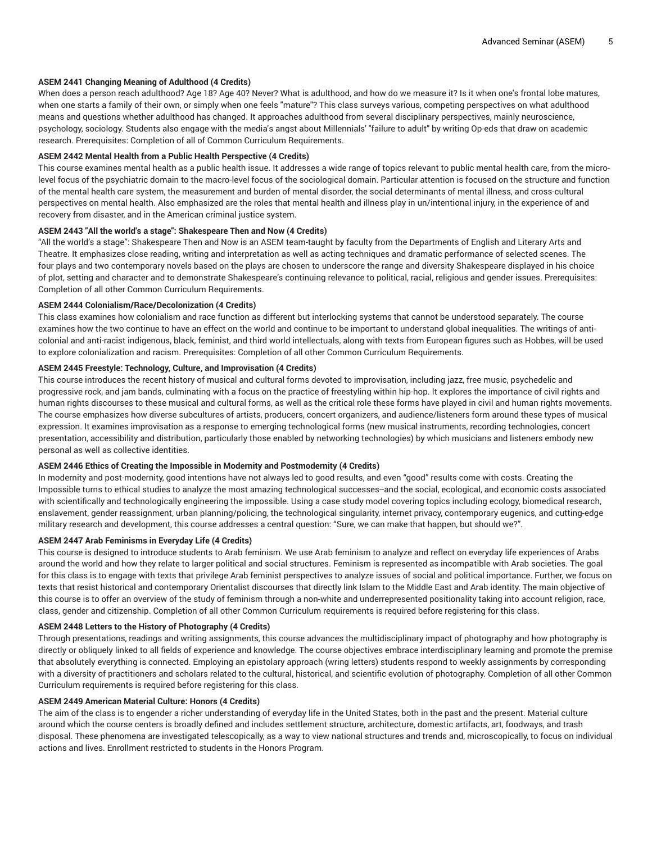# **ASEM 2441 Changing Meaning of Adulthood (4 Credits)**

When does a person reach adulthood? Age 18? Age 40? Never? What is adulthood, and how do we measure it? Is it when one's frontal lobe matures, when one starts a family of their own, or simply when one feels "mature"? This class surveys various, competing perspectives on what adulthood means and questions whether adulthood has changed. It approaches adulthood from several disciplinary perspectives, mainly neuroscience, psychology, sociology. Students also engage with the media's angst about Millennials' "failure to adult" by writing Op-eds that draw on academic research. Prerequisites: Completion of all of Common Curriculum Requirements.

## **ASEM 2442 Mental Health from a Public Health Perspective (4 Credits)**

This course examines mental health as a public health issue. It addresses a wide range of topics relevant to public mental health care, from the microlevel focus of the psychiatric domain to the macro-level focus of the sociological domain. Particular attention is focused on the structure and function of the mental health care system, the measurement and burden of mental disorder, the social determinants of mental illness, and cross-cultural perspectives on mental health. Also emphasized are the roles that mental health and illness play in un/intentional injury, in the experience of and recovery from disaster, and in the American criminal justice system.

## **ASEM 2443 "All the world's a stage": Shakespeare Then and Now (4 Credits)**

"All the world's a stage": Shakespeare Then and Now is an ASEM team-taught by faculty from the Departments of English and Literary Arts and Theatre. It emphasizes close reading, writing and interpretation as well as acting techniques and dramatic performance of selected scenes. The four plays and two contemporary novels based on the plays are chosen to underscore the range and diversity Shakespeare displayed in his choice of plot, setting and character and to demonstrate Shakespeare's continuing relevance to political, racial, religious and gender issues. Prerequisites: Completion of all other Common Curriculum Requirements.

## **ASEM 2444 Colonialism/Race/Decolonization (4 Credits)**

This class examines how colonialism and race function as different but interlocking systems that cannot be understood separately. The course examines how the two continue to have an effect on the world and continue to be important to understand global inequalities. The writings of anticolonial and anti-racist indigenous, black, feminist, and third world intellectuals, along with texts from European figures such as Hobbes, will be used to explore colonialization and racism. Prerequisites: Completion of all other Common Curriculum Requirements.

# **ASEM 2445 Freestyle: Technology, Culture, and Improvisation (4 Credits)**

This course introduces the recent history of musical and cultural forms devoted to improvisation, including jazz, free music, psychedelic and progressive rock, and jam bands, culminating with a focus on the practice of freestyling within hip-hop. It explores the importance of civil rights and human rights discourses to these musical and cultural forms, as well as the critical role these forms have played in civil and human rights movements. The course emphasizes how diverse subcultures of artists, producers, concert organizers, and audience/listeners form around these types of musical expression. It examines improvisation as a response to emerging technological forms (new musical instruments, recording technologies, concert presentation, accessibility and distribution, particularly those enabled by networking technologies) by which musicians and listeners embody new personal as well as collective identities.

# **ASEM 2446 Ethics of Creating the Impossible in Modernity and Postmodernity (4 Credits)**

In modernity and post-modernity, good intentions have not always led to good results, and even "good" results come with costs. Creating the Impossible turns to ethical studies to analyze the most amazing technological successes--and the social, ecological, and economic costs associated with scientifically and technologically engineering the impossible. Using a case study model covering topics including ecology, biomedical research, enslavement, gender reassignment, urban planning/policing, the technological singularity, internet privacy, contemporary eugenics, and cutting-edge military research and development, this course addresses a central question: "Sure, we can make that happen, but should we?".

#### **ASEM 2447 Arab Feminisms in Everyday Life (4 Credits)**

This course is designed to introduce students to Arab feminism. We use Arab feminism to analyze and reflect on everyday life experiences of Arabs around the world and how they relate to larger political and social structures. Feminism is represented as incompatible with Arab societies. The goal for this class is to engage with texts that privilege Arab feminist perspectives to analyze issues of social and political importance. Further, we focus on texts that resist historical and contemporary Orientalist discourses that directly link Islam to the Middle East and Arab identity. The main objective of this course is to offer an overview of the study of feminism through a non-white and underrepresented positionality taking into account religion, race, class, gender and citizenship. Completion of all other Common Curriculum requirements is required before registering for this class.

# **ASEM 2448 Letters to the History of Photography (4 Credits)**

Through presentations, readings and writing assignments, this course advances the multidisciplinary impact of photography and how photography is directly or obliquely linked to all fields of experience and knowledge. The course objectives embrace interdisciplinary learning and promote the premise that absolutely everything is connected. Employing an epistolary approach (wring letters) students respond to weekly assignments by corresponding with a diversity of practitioners and scholars related to the cultural, historical, and scientific evolution of photography. Completion of all other Common Curriculum requirements is required before registering for this class.

# **ASEM 2449 American Material Culture: Honors (4 Credits)**

The aim of the class is to engender a richer understanding of everyday life in the United States, both in the past and the present. Material culture around which the course centers is broadly defined and includes settlement structure, architecture, domestic artifacts, art, foodways, and trash disposal. These phenomena are investigated telescopically, as a way to view national structures and trends and, microscopically, to focus on individual actions and lives. Enrollment restricted to students in the Honors Program.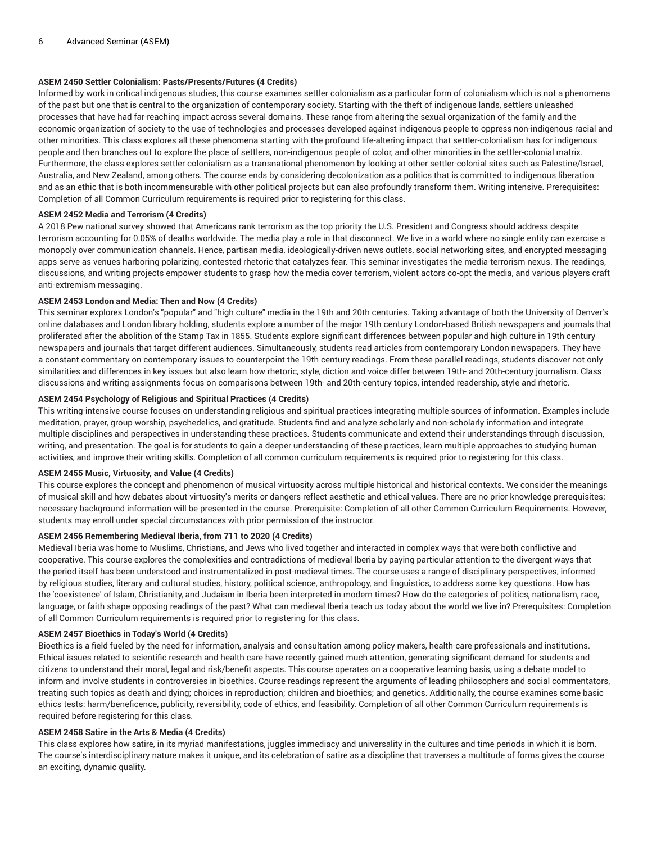# **ASEM 2450 Settler Colonialism: Pasts/Presents/Futures (4 Credits)**

Informed by work in critical indigenous studies, this course examines settler colonialism as a particular form of colonialism which is not a phenomena of the past but one that is central to the organization of contemporary society. Starting with the theft of indigenous lands, settlers unleashed processes that have had far-reaching impact across several domains. These range from altering the sexual organization of the family and the economic organization of society to the use of technologies and processes developed against indigenous people to oppress non-indigenous racial and other minorities. This class explores all these phenomena starting with the profound life-altering impact that settler-colonialism has for indigenous people and then branches out to explore the place of settlers, non-indigenous people of color, and other minorities in the settler-colonial matrix. Furthermore, the class explores settler colonialism as a transnational phenomenon by looking at other settler-colonial sites such as Palestine/Israel, Australia, and New Zealand, among others. The course ends by considering decolonization as a politics that is committed to indigenous liberation and as an ethic that is both incommensurable with other political projects but can also profoundly transform them. Writing intensive. Prerequisites: Completion of all Common Curriculum requirements is required prior to registering for this class.

#### **ASEM 2452 Media and Terrorism (4 Credits)**

A 2018 Pew national survey showed that Americans rank terrorism as the top priority the U.S. President and Congress should address despite terrorism accounting for 0.05% of deaths worldwide. The media play a role in that disconnect. We live in a world where no single entity can exercise a monopoly over communication channels. Hence, partisan media, ideologically-driven news outlets, social networking sites, and encrypted messaging apps serve as venues harboring polarizing, contested rhetoric that catalyzes fear. This seminar investigates the media-terrorism nexus. The readings, discussions, and writing projects empower students to grasp how the media cover terrorism, violent actors co-opt the media, and various players craft anti-extremism messaging.

## **ASEM 2453 London and Media: Then and Now (4 Credits)**

This seminar explores London's "popular" and "high culture" media in the 19th and 20th centuries. Taking advantage of both the University of Denver's online databases and London library holding, students explore a number of the major 19th century London-based British newspapers and journals that proliferated after the abolition of the Stamp Tax in 1855. Students explore significant differences between popular and high culture in 19th century newspapers and journals that target different audiences. Simultaneously, students read articles from contemporary London newspapers. They have a constant commentary on contemporary issues to counterpoint the 19th century readings. From these parallel readings, students discover not only similarities and differences in key issues but also learn how rhetoric, style, diction and voice differ between 19th- and 20th-century journalism. Class discussions and writing assignments focus on comparisons between 19th- and 20th-century topics, intended readership, style and rhetoric.

# **ASEM 2454 Psychology of Religious and Spiritual Practices (4 Credits)**

This writing-intensive course focuses on understanding religious and spiritual practices integrating multiple sources of information. Examples include meditation, prayer, group worship, psychedelics, and gratitude. Students find and analyze scholarly and non-scholarly information and integrate multiple disciplines and perspectives in understanding these practices. Students communicate and extend their understandings through discussion, writing, and presentation. The goal is for students to gain a deeper understanding of these practices, learn multiple approaches to studying human activities, and improve their writing skills. Completion of all common curriculum requirements is required prior to registering for this class.

## **ASEM 2455 Music, Virtuosity, and Value (4 Credits)**

This course explores the concept and phenomenon of musical virtuosity across multiple historical and historical contexts. We consider the meanings of musical skill and how debates about virtuosity's merits or dangers reflect aesthetic and ethical values. There are no prior knowledge prerequisites; necessary background information will be presented in the course. Prerequisite: Completion of all other Common Curriculum Requirements. However, students may enroll under special circumstances with prior permission of the instructor.

#### **ASEM 2456 Remembering Medieval Iberia, from 711 to 2020 (4 Credits)**

Medieval Iberia was home to Muslims, Christians, and Jews who lived together and interacted in complex ways that were both conflictive and cooperative. This course explores the complexities and contradictions of medieval Iberia by paying particular attention to the divergent ways that the period itself has been understood and instrumentalized in post-medieval times. The course uses a range of disciplinary perspectives, informed by religious studies, literary and cultural studies, history, political science, anthropology, and linguistics, to address some key questions. How has the 'coexistence' of Islam, Christianity, and Judaism in Iberia been interpreted in modern times? How do the categories of politics, nationalism, race, language, or faith shape opposing readings of the past? What can medieval Iberia teach us today about the world we live in? Prerequisites: Completion of all Common Curriculum requirements is required prior to registering for this class.

#### **ASEM 2457 Bioethics in Today's World (4 Credits)**

Bioethics is a field fueled by the need for information, analysis and consultation among policy makers, health-care professionals and institutions. Ethical issues related to scientific research and health care have recently gained much attention, generating significant demand for students and citizens to understand their moral, legal and risk/benefit aspects. This course operates on a cooperative learning basis, using a debate model to inform and involve students in controversies in bioethics. Course readings represent the arguments of leading philosophers and social commentators, treating such topics as death and dying; choices in reproduction; children and bioethics; and genetics. Additionally, the course examines some basic ethics tests: harm/beneficence, publicity, reversibility, code of ethics, and feasibility. Completion of all other Common Curriculum requirements is required before registering for this class.

#### **ASEM 2458 Satire in the Arts & Media (4 Credits)**

This class explores how satire, in its myriad manifestations, juggles immediacy and universality in the cultures and time periods in which it is born. The course's interdisciplinary nature makes it unique, and its celebration of satire as a discipline that traverses a multitude of forms gives the course an exciting, dynamic quality.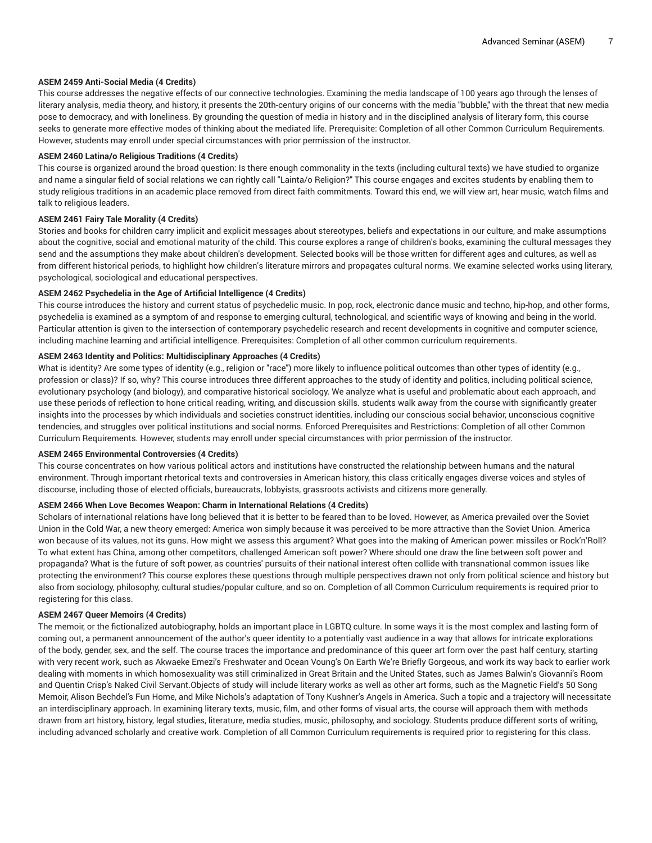# **ASEM 2459 Anti-Social Media (4 Credits)**

This course addresses the negative effects of our connective technologies. Examining the media landscape of 100 years ago through the lenses of literary analysis, media theory, and history, it presents the 20th-century origins of our concerns with the media "bubble," with the threat that new media pose to democracy, and with loneliness. By grounding the question of media in history and in the disciplined analysis of literary form, this course seeks to generate more effective modes of thinking about the mediated life. Prerequisite: Completion of all other Common Curriculum Requirements. However, students may enroll under special circumstances with prior permission of the instructor.

## **ASEM 2460 Latina/o Religious Traditions (4 Credits)**

This course is organized around the broad question: Is there enough commonality in the texts (including cultural texts) we have studied to organize and name a singular field of social relations we can rightly call "Lainta/o Religion?" This course engages and excites students by enabling them to study religious traditions in an academic place removed from direct faith commitments. Toward this end, we will view art, hear music, watch films and talk to religious leaders.

## **ASEM 2461 Fairy Tale Morality (4 Credits)**

Stories and books for children carry implicit and explicit messages about stereotypes, beliefs and expectations in our culture, and make assumptions about the cognitive, social and emotional maturity of the child. This course explores a range of children's books, examining the cultural messages they send and the assumptions they make about children's development. Selected books will be those written for different ages and cultures, as well as from different historical periods, to highlight how children's literature mirrors and propagates cultural norms. We examine selected works using literary, psychological, sociological and educational perspectives.

## **ASEM 2462 Psychedelia in the Age of Artificial Intelligence (4 Credits)**

This course introduces the history and current status of psychedelic music. In pop, rock, electronic dance music and techno, hip-hop, and other forms, psychedelia is examined as a symptom of and response to emerging cultural, technological, and scientific ways of knowing and being in the world. Particular attention is given to the intersection of contemporary psychedelic research and recent developments in cognitive and computer science, including machine learning and artificial intelligence. Prerequisites: Completion of all other common curriculum requirements.

# **ASEM 2463 Identity and Politics: Multidisciplinary Approaches (4 Credits)**

What is identity? Are some types of identity (e.g., religion or "race") more likely to influence political outcomes than other types of identity (e.g., profession or class)? If so, why? This course introduces three different approaches to the study of identity and politics, including political science, evolutionary psychology (and biology), and comparative historical sociology. We analyze what is useful and problematic about each approach, and use these periods of reflection to hone critical reading, writing, and discussion skills. students walk away from the course with significantly greater insights into the processes by which individuals and societies construct identities, including our conscious social behavior, unconscious cognitive tendencies, and struggles over political institutions and social norms. Enforced Prerequisites and Restrictions: Completion of all other Common Curriculum Requirements. However, students may enroll under special circumstances with prior permission of the instructor.

## **ASEM 2465 Environmental Controversies (4 Credits)**

This course concentrates on how various political actors and institutions have constructed the relationship between humans and the natural environment. Through important rhetorical texts and controversies in American history, this class critically engages diverse voices and styles of discourse, including those of elected officials, bureaucrats, lobbyists, grassroots activists and citizens more generally.

# **ASEM 2466 When Love Becomes Weapon: Charm in International Relations (4 Credits)**

Scholars of international relations have long believed that it is better to be feared than to be loved. However, as America prevailed over the Soviet Union in the Cold War, a new theory emerged: America won simply because it was perceived to be more attractive than the Soviet Union. America won because of its values, not its guns. How might we assess this argument? What goes into the making of American power: missiles or Rock'n'Roll? To what extent has China, among other competitors, challenged American soft power? Where should one draw the line between soft power and propaganda? What is the future of soft power, as countries' pursuits of their national interest often collide with transnational common issues like protecting the environment? This course explores these questions through multiple perspectives drawn not only from political science and history but also from sociology, philosophy, cultural studies/popular culture, and so on. Completion of all Common Curriculum requirements is required prior to registering for this class.

#### **ASEM 2467 Queer Memoirs (4 Credits)**

The memoir, or the fictionalized autobiography, holds an important place in LGBTQ culture. In some ways it is the most complex and lasting form of coming out, a permanent announcement of the author's queer identity to a potentially vast audience in a way that allows for intricate explorations of the body, gender, sex, and the self. The course traces the importance and predominance of this queer art form over the past half century, starting with very recent work, such as Akwaeke Emezi's Freshwater and Ocean Voung's On Earth We're Briefly Gorgeous, and work its way back to earlier work dealing with moments in which homosexuality was still criminalized in Great Britain and the United States, such as James Balwin's Giovanni's Room and Quentin Crisp's Naked Civil Servant.Objects of study will include literary works as well as other art forms, such as the Magnetic Field's 50 Song Memoir, Alison Bechdel's Fun Home, and Mike Nichols's adaptation of Tony Kushner's Angels in America. Such a topic and a trajectory will necessitate an interdisciplinary approach. In examining literary texts, music, film, and other forms of visual arts, the course will approach them with methods drawn from art history, history, legal studies, literature, media studies, music, philosophy, and sociology. Students produce different sorts of writing, including advanced scholarly and creative work. Completion of all Common Curriculum requirements is required prior to registering for this class.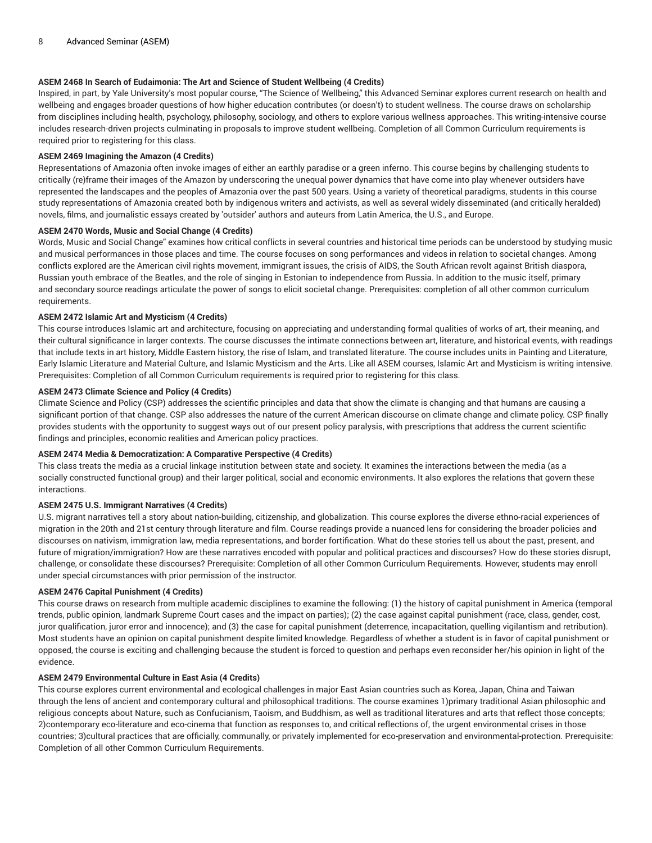# **ASEM 2468 In Search of Eudaimonia: The Art and Science of Student Wellbeing (4 Credits)**

Inspired, in part, by Yale University's most popular course, "The Science of Wellbeing," this Advanced Seminar explores current research on health and wellbeing and engages broader questions of how higher education contributes (or doesn't) to student wellness. The course draws on scholarship from disciplines including health, psychology, philosophy, sociology, and others to explore various wellness approaches. This writing-intensive course includes research-driven projects culminating in proposals to improve student wellbeing. Completion of all Common Curriculum requirements is required prior to registering for this class.

#### **ASEM 2469 Imagining the Amazon (4 Credits)**

Representations of Amazonia often invoke images of either an earthly paradise or a green inferno. This course begins by challenging students to critically (re)frame their images of the Amazon by underscoring the unequal power dynamics that have come into play whenever outsiders have represented the landscapes and the peoples of Amazonia over the past 500 years. Using a variety of theoretical paradigms, students in this course study representations of Amazonia created both by indigenous writers and activists, as well as several widely disseminated (and critically heralded) novels, films, and journalistic essays created by 'outsider' authors and auteurs from Latin America, the U.S., and Europe.

#### **ASEM 2470 Words, Music and Social Change (4 Credits)**

Words, Music and Social Change" examines how critical conflicts in several countries and historical time periods can be understood by studying music and musical performances in those places and time. The course focuses on song performances and videos in relation to societal changes. Among conflicts explored are the American civil rights movement, immigrant issues, the crisis of AIDS, the South African revolt against British diaspora, Russian youth embrace of the Beatles, and the role of singing in Estonian to independence from Russia. In addition to the music itself, primary and secondary source readings articulate the power of songs to elicit societal change. Prerequisites: completion of all other common curriculum requirements.

## **ASEM 2472 Islamic Art and Mysticism (4 Credits)**

This course introduces Islamic art and architecture, focusing on appreciating and understanding formal qualities of works of art, their meaning, and their cultural significance in larger contexts. The course discusses the intimate connections between art, literature, and historical events, with readings that include texts in art history, Middle Eastern history, the rise of Islam, and translated literature. The course includes units in Painting and Literature, Early Islamic Literature and Material Culture, and Islamic Mysticism and the Arts. Like all ASEM courses, Islamic Art and Mysticism is writing intensive. Prerequisites: Completion of all Common Curriculum requirements is required prior to registering for this class.

# **ASEM 2473 Climate Science and Policy (4 Credits)**

Climate Science and Policy (CSP) addresses the scientific principles and data that show the climate is changing and that humans are causing a significant portion of that change. CSP also addresses the nature of the current American discourse on climate change and climate policy. CSP finally provides students with the opportunity to suggest ways out of our present policy paralysis, with prescriptions that address the current scientific findings and principles, economic realities and American policy practices.

#### **ASEM 2474 Media & Democratization: A Comparative Perspective (4 Credits)**

This class treats the media as a crucial linkage institution between state and society. It examines the interactions between the media (as a socially constructed functional group) and their larger political, social and economic environments. It also explores the relations that govern these interactions.

#### **ASEM 2475 U.S. Immigrant Narratives (4 Credits)**

U.S. migrant narratives tell a story about nation-building, citizenship, and globalization. This course explores the diverse ethno-racial experiences of migration in the 20th and 21st century through literature and film. Course readings provide a nuanced lens for considering the broader policies and discourses on nativism, immigration law, media representations, and border fortification. What do these stories tell us about the past, present, and future of migration/immigration? How are these narratives encoded with popular and political practices and discourses? How do these stories disrupt, challenge, or consolidate these discourses? Prerequisite: Completion of all other Common Curriculum Requirements. However, students may enroll under special circumstances with prior permission of the instructor.

## **ASEM 2476 Capital Punishment (4 Credits)**

This course draws on research from multiple academic disciplines to examine the following: (1) the history of capital punishment in America (temporal trends, public opinion, landmark Supreme Court cases and the impact on parties); (2) the case against capital punishment (race, class, gender, cost, juror qualification, juror error and innocence); and (3) the case for capital punishment (deterrence, incapacitation, quelling vigilantism and retribution). Most students have an opinion on capital punishment despite limited knowledge. Regardless of whether a student is in favor of capital punishment or opposed, the course is exciting and challenging because the student is forced to question and perhaps even reconsider her/his opinion in light of the evidence.

# **ASEM 2479 Environmental Culture in East Asia (4 Credits)**

This course explores current environmental and ecological challenges in major East Asian countries such as Korea, Japan, China and Taiwan through the lens of ancient and contemporary cultural and philosophical traditions. The course examines 1)primary traditional Asian philosophic and religious concepts about Nature, such as Confucianism, Taoism, and Buddhism, as well as traditional literatures and arts that reflect those concepts; 2)contemporary eco-literature and eco-cinema that function as responses to, and critical reflections of, the urgent environmental crises in those countries; 3)cultural practices that are officially, communally, or privately implemented for eco-preservation and environmental-protection. Prerequisite: Completion of all other Common Curriculum Requirements.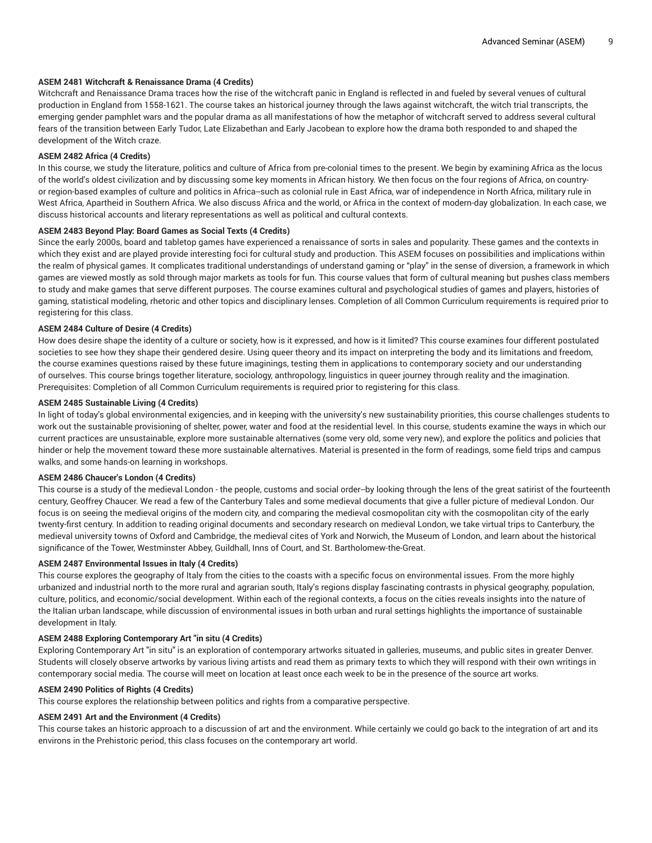# **ASEM 2481 Witchcraft & Renaissance Drama (4 Credits)**

Witchcraft and Renaissance Drama traces how the rise of the witchcraft panic in England is reflected in and fueled by several venues of cultural production in England from 1558-1621. The course takes an historical journey through the laws against witchcraft, the witch trial transcripts, the emerging gender pamphlet wars and the popular drama as all manifestations of how the metaphor of witchcraft served to address several cultural fears of the transition between Early Tudor, Late Elizabethan and Early Jacobean to explore how the drama both responded to and shaped the development of the Witch craze.

## **ASEM 2482 Africa (4 Credits)**

In this course, we study the literature, politics and culture of Africa from pre-colonial times to the present. We begin by examining Africa as the locus of the world's oldest civilization and by discussing some key moments in African history. We then focus on the four regions of Africa, on countryor region-based examples of culture and politics in Africa--such as colonial rule in East Africa, war of independence in North Africa, military rule in West Africa, Apartheid in Southern Africa. We also discuss Africa and the world, or Africa in the context of modern-day globalization. In each case, we discuss historical accounts and literary representations as well as political and cultural contexts.

#### **ASEM 2483 Beyond Play: Board Games as Social Texts (4 Credits)**

Since the early 2000s, board and tabletop games have experienced a renaissance of sorts in sales and popularity. These games and the contexts in which they exist and are played provide interesting foci for cultural study and production. This ASEM focuses on possibilities and implications within the realm of physical games. It complicates traditional understandings of understand gaming or "play" in the sense of diversion, a framework in which games are viewed mostly as sold through major markets as tools for fun. This course values that form of cultural meaning but pushes class members to study and make games that serve different purposes. The course examines cultural and psychological studies of games and players, histories of gaming, statistical modeling, rhetoric and other topics and disciplinary lenses. Completion of all Common Curriculum requirements is required prior to registering for this class.

# **ASEM 2484 Culture of Desire (4 Credits)**

How does desire shape the identity of a culture or society, how is it expressed, and how is it limited? This course examines four different postulated societies to see how they shape their gendered desire. Using queer theory and its impact on interpreting the body and its limitations and freedom, the course examines questions raised by these future imaginings, testing them in applications to contemporary society and our understanding of ourselves. This course brings together literature, sociology, anthropology, linguistics in queer journey through reality and the imagination. Prerequisites: Completion of all Common Curriculum requirements is required prior to registering for this class.

#### **ASEM 2485 Sustainable Living (4 Credits)**

In light of today's global environmental exigencies, and in keeping with the university's new sustainability priorities, this course challenges students to work out the sustainable provisioning of shelter, power, water and food at the residential level. In this course, students examine the ways in which our current practices are unsustainable, explore more sustainable alternatives (some very old, some very new), and explore the politics and policies that hinder or help the movement toward these more sustainable alternatives. Material is presented in the form of readings, some field trips and campus walks, and some hands-on learning in workshops.

## **ASEM 2486 Chaucer's London (4 Credits)**

This course is a study of the medieval London - the people, customs and social order--by looking through the lens of the great satirist of the fourteenth century, Geoffrey Chaucer. We read a few of the Canterbury Tales and some medieval documents that give a fuller picture of medieval London. Our focus is on seeing the medieval origins of the modern city, and comparing the medieval cosmopolitan city with the cosmopolitan city of the early twenty-first century. In addition to reading original documents and secondary research on medieval London, we take virtual trips to Canterbury, the medieval university towns of Oxford and Cambridge, the medieval cites of York and Norwich, the Museum of London, and learn about the historical significance of the Tower, Westminster Abbey, Guildhall, Inns of Court, and St. Bartholomew-the-Great.

#### **ASEM 2487 Environmental Issues in Italy (4 Credits)**

This course explores the geography of Italy from the cities to the coasts with a specific focus on environmental issues. From the more highly urbanized and industrial north to the more rural and agrarian south, Italy's regions display fascinating contrasts in physical geography, population, culture, politics, and economic/social development. Within each of the regional contexts, a focus on the cities reveals insights into the nature of the Italian urban landscape, while discussion of environmental issues in both urban and rural settings highlights the importance of sustainable development in Italy.

# **ASEM 2488 Exploring Contemporary Art "in situ (4 Credits)**

Exploring Contemporary Art "in situ" is an exploration of contemporary artworks situated in galleries, museums, and public sites in greater Denver. Students will closely observe artworks by various living artists and read them as primary texts to which they will respond with their own writings in contemporary social media. The course will meet on location at least once each week to be in the presence of the source art works.

# **ASEM 2490 Politics of Rights (4 Credits)**

This course explores the relationship between politics and rights from a comparative perspective.

#### **ASEM 2491 Art and the Environment (4 Credits)**

This course takes an historic approach to a discussion of art and the environment. While certainly we could go back to the integration of art and its environs in the Prehistoric period, this class focuses on the contemporary art world.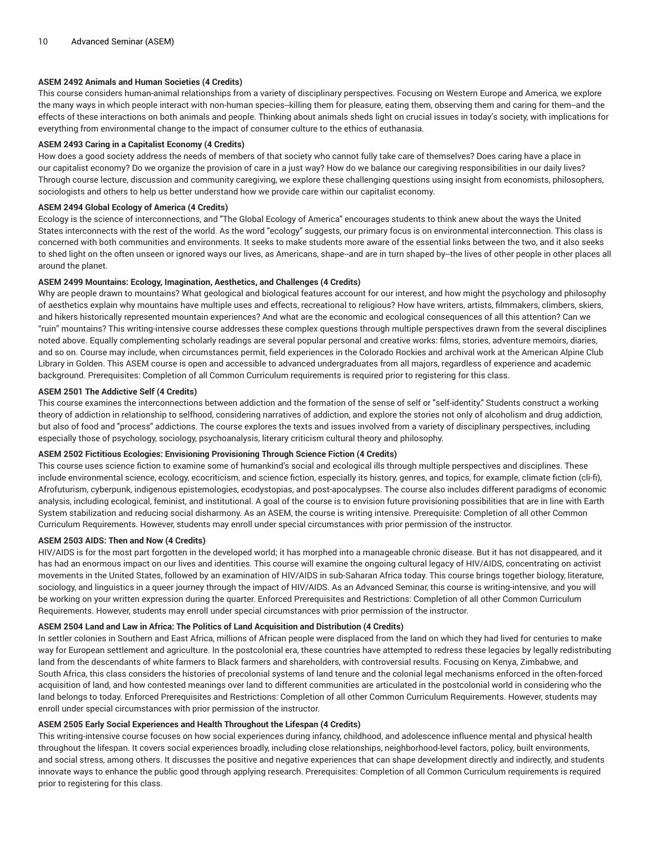# **ASEM 2492 Animals and Human Societies (4 Credits)**

This course considers human-animal relationships from a variety of disciplinary perspectives. Focusing on Western Europe and America, we explore the many ways in which people interact with non-human species--killing them for pleasure, eating them, observing them and caring for them--and the effects of these interactions on both animals and people. Thinking about animals sheds light on crucial issues in today's society, with implications for everything from environmental change to the impact of consumer culture to the ethics of euthanasia.

## **ASEM 2493 Caring in a Capitalist Economy (4 Credits)**

How does a good society address the needs of members of that society who cannot fully take care of themselves? Does caring have a place in our capitalist economy? Do we organize the provision of care in a just way? How do we balance our caregiving responsibilities in our daily lives? Through course lecture, discussion and community caregiving, we explore these challenging questions using insight from economists, philosophers, sociologists and others to help us better understand how we provide care within our capitalist economy.

#### **ASEM 2494 Global Ecology of America (4 Credits)**

Ecology is the science of interconnections, and "The Global Ecology of America" encourages students to think anew about the ways the United States interconnects with the rest of the world. As the word "ecology" suggests, our primary focus is on environmental interconnection. This class is concerned with both communities and environments. It seeks to make students more aware of the essential links between the two, and it also seeks to shed light on the often unseen or ignored ways our lives, as Americans, shape--and are in turn shaped by--the lives of other people in other places all around the planet.

#### **ASEM 2499 Mountains: Ecology, Imagination, Aesthetics, and Challenges (4 Credits)**

Why are people drawn to mountains? What geological and biological features account for our interest, and how might the psychology and philosophy of aesthetics explain why mountains have multiple uses and effects, recreational to religious? How have writers, artists, filmmakers, climbers, skiers, and hikers historically represented mountain experiences? And what are the economic and ecological consequences of all this attention? Can we "ruin" mountains? This writing-intensive course addresses these complex questions through multiple perspectives drawn from the several disciplines noted above. Equally complementing scholarly readings are several popular personal and creative works: films, stories, adventure memoirs, diaries, and so on. Course may include, when circumstances permit, field experiences in the Colorado Rockies and archival work at the American Alpine Club Library in Golden. This ASEM course is open and accessible to advanced undergraduates from all majors, regardless of experience and academic background. Prerequisites: Completion of all Common Curriculum requirements is required prior to registering for this class.

# **ASEM 2501 The Addictive Self (4 Credits)**

This course examines the interconnections between addiction and the formation of the sense of self or "self-identity." Students construct a working theory of addiction in relationship to selfhood, considering narratives of addiction, and explore the stories not only of alcoholism and drug addiction, but also of food and "process" addictions. The course explores the texts and issues involved from a variety of disciplinary perspectives, including especially those of psychology, sociology, psychoanalysis, literary criticism cultural theory and philosophy.

#### **ASEM 2502 Fictitious Ecologies: Envisioning Provisioning Through Science Fiction (4 Credits)**

This course uses science fiction to examine some of humankind's social and ecological ills through multiple perspectives and disciplines. These include environmental science, ecology, ecocriticism, and science fiction, especially its history, genres, and topics, for example, climate fiction (cli-fi), Afrofuturism, cyberpunk, indigenous epistemologies, ecodystopias, and post-apocalypses. The course also includes different paradigms of economic analysis, including ecological, feminist, and institutional. A goal of the course is to envision future provisioning possibilities that are in line with Earth System stabilization and reducing social disharmony. As an ASEM, the course is writing intensive. Prerequisite: Completion of all other Common Curriculum Requirements. However, students may enroll under special circumstances with prior permission of the instructor.

#### **ASEM 2503 AIDS: Then and Now (4 Credits)**

HIV/AIDS is for the most part forgotten in the developed world; it has morphed into a manageable chronic disease. But it has not disappeared, and it has had an enormous impact on our lives and identities. This course will examine the ongoing cultural legacy of HIV/AIDS, concentrating on activist movements in the United States, followed by an examination of HIV/AIDS in sub-Saharan Africa today. This course brings together biology, literature, sociology, and linguistics in a queer journey through the impact of HIV/AIDS. As an Advanced Seminar, this course is writing-intensive, and you will be working on your written expression during the quarter. Enforced Prerequisites and Restrictions: Completion of all other Common Curriculum Requirements. However, students may enroll under special circumstances with prior permission of the instructor.

#### **ASEM 2504 Land and Law in Africa: The Politics of Land Acquisition and Distribution (4 Credits)**

In settler colonies in Southern and East Africa, millions of African people were displaced from the land on which they had lived for centuries to make way for European settlement and agriculture. In the postcolonial era, these countries have attempted to redress these legacies by legally redistributing land from the descendants of white farmers to Black farmers and shareholders, with controversial results. Focusing on Kenya, Zimbabwe, and South Africa, this class considers the histories of precolonial systems of land tenure and the colonial legal mechanisms enforced in the often-forced acquisition of land, and how contested meanings over land to different communities are articulated in the postcolonial world in considering who the land belongs to today. Enforced Prerequisites and Restrictions: Completion of all other Common Curriculum Requirements. However, students may enroll under special circumstances with prior permission of the instructor.

# **ASEM 2505 Early Social Experiences and Health Throughout the Lifespan (4 Credits)**

This writing-intensive course focuses on how social experiences during infancy, childhood, and adolescence influence mental and physical health throughout the lifespan. It covers social experiences broadly, including close relationships, neighborhood-level factors, policy, built environments, and social stress, among others. It discusses the positive and negative experiences that can shape development directly and indirectly, and students innovate ways to enhance the public good through applying research. Prerequisites: Completion of all Common Curriculum requirements is required prior to registering for this class.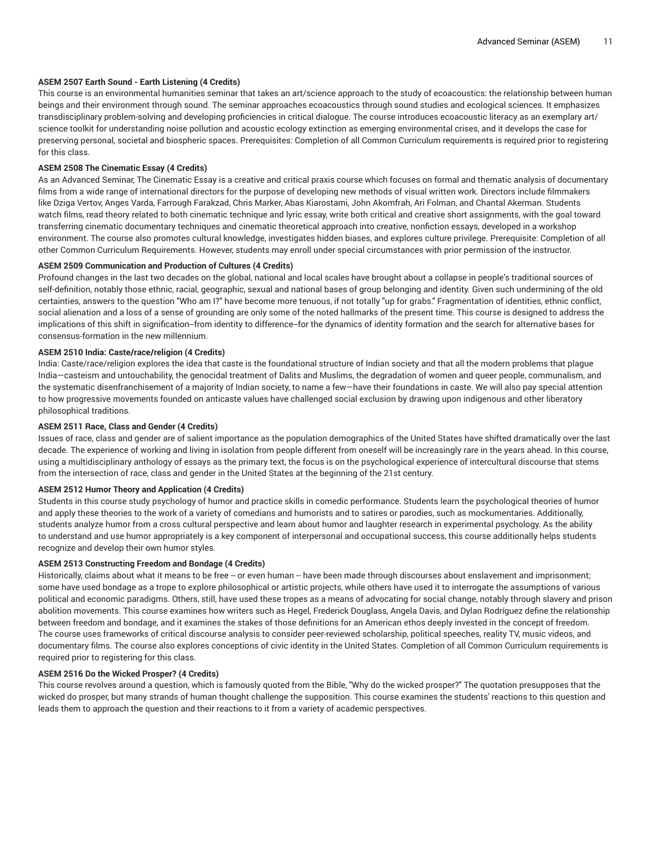# **ASEM 2507 Earth Sound - Earth Listening (4 Credits)**

This course is an environmental humanities seminar that takes an art/science approach to the study of ecoacoustics: the relationship between human beings and their environment through sound. The seminar approaches ecoacoustics through sound studies and ecological sciences. It emphasizes transdisciplinary problem-solving and developing proficiencies in critical dialogue. The course introduces ecoacoustic literacy as an exemplary art/ science toolkit for understanding noise pollution and acoustic ecology extinction as emerging environmental crises, and it develops the case for preserving personal, societal and biospheric spaces. Prerequisites: Completion of all Common Curriculum requirements is required prior to registering for this class.

# **ASEM 2508 The Cinematic Essay (4 Credits)**

As an Advanced Seminar, The Cinematic Essay is a creative and critical praxis course which focuses on formal and thematic analysis of documentary films from a wide range of international directors for the purpose of developing new methods of visual written work. Directors include filmmakers like Dziga Vertov, Anges Varda, Farrough Farakzad, Chris Marker, Abas Kiarostami, John Akomfrah, Ari Folman, and Chantal Akerman. Students watch films, read theory related to both cinematic technique and lyric essay, write both critical and creative short assignments, with the goal toward transferring cinematic documentary techniques and cinematic theoretical approach into creative, nonfiction essays, developed in a workshop environment. The course also promotes cultural knowledge, investigates hidden biases, and explores culture privilege. Prerequisite: Completion of all other Common Curriculum Requirements. However, students may enroll under special circumstances with prior permission of the instructor.

## **ASEM 2509 Communication and Production of Cultures (4 Credits)**

Profound changes in the last two decades on the global, national and local scales have brought about a collapse in people's traditional sources of self-definition, notably those ethnic, racial, geographic, sexual and national bases of group belonging and identity. Given such undermining of the old certainties, answers to the question "Who am I?" have become more tenuous, if not totally "up for grabs." Fragmentation of identities, ethnic conflict, social alienation and a loss of a sense of grounding are only some of the noted hallmarks of the present time. This course is designed to address the implications of this shift in signification--from identity to difference--for the dynamics of identity formation and the search for alternative bases for consensus-formation in the new millennium.

## **ASEM 2510 India: Caste/race/religion (4 Credits)**

India: Caste/race/religion explores the idea that caste is the foundational structure of Indian society and that all the modern problems that plague India—casteism and untouchability, the genocidal treatment of Dalits and Muslims, the degradation of women and queer people, communalism, and the systematic disenfranchisement of a majority of Indian society, to name a few—have their foundations in caste. We will also pay special attention to how progressive movements founded on anticaste values have challenged social exclusion by drawing upon indigenous and other liberatory philosophical traditions.

#### **ASEM 2511 Race, Class and Gender (4 Credits)**

Issues of race, class and gender are of salient importance as the population demographics of the United States have shifted dramatically over the last decade. The experience of working and living in isolation from people different from oneself will be increasingly rare in the years ahead. In this course, using a multidisciplinary anthology of essays as the primary text, the focus is on the psychological experience of intercultural discourse that stems from the intersection of race, class and gender in the United States at the beginning of the 21st century.

#### **ASEM 2512 Humor Theory and Application (4 Credits)**

Students in this course study psychology of humor and practice skills in comedic performance. Students learn the psychological theories of humor and apply these theories to the work of a variety of comedians and humorists and to satires or parodies, such as mockumentaries. Additionally, students analyze humor from a cross cultural perspective and learn about humor and laughter research in experimental psychology. As the ability to understand and use humor appropriately is a key component of interpersonal and occupational success, this course additionally helps students recognize and develop their own humor styles.

#### **ASEM 2513 Constructing Freedom and Bondage (4 Credits)**

Historically, claims about what it means to be free -- or even human -- have been made through discourses about enslavement and imprisonment; some have used bondage as a trope to explore philosophical or artistic projects, while others have used it to interrogate the assumptions of various political and economic paradigms. Others, still, have used these tropes as a means of advocating for social change, notably through slavery and prison abolition movements. This course examines how writers such as Hegel, Frederick Douglass, Angela Davis, and Dylan Rodríguez define the relationship between freedom and bondage, and it examines the stakes of those definitions for an American ethos deeply invested in the concept of freedom. The course uses frameworks of critical discourse analysis to consider peer-reviewed scholarship, political speeches, reality TV, music videos, and documentary films. The course also explores conceptions of civic identity in the United States. Completion of all Common Curriculum requirements is required prior to registering for this class.

## **ASEM 2516 Do the Wicked Prosper? (4 Credits)**

This course revolves around a question, which is famously quoted from the Bible, "Why do the wicked prosper?" The quotation presupposes that the wicked do prosper, but many strands of human thought challenge the supposition. This course examines the students' reactions to this question and leads them to approach the question and their reactions to it from a variety of academic perspectives.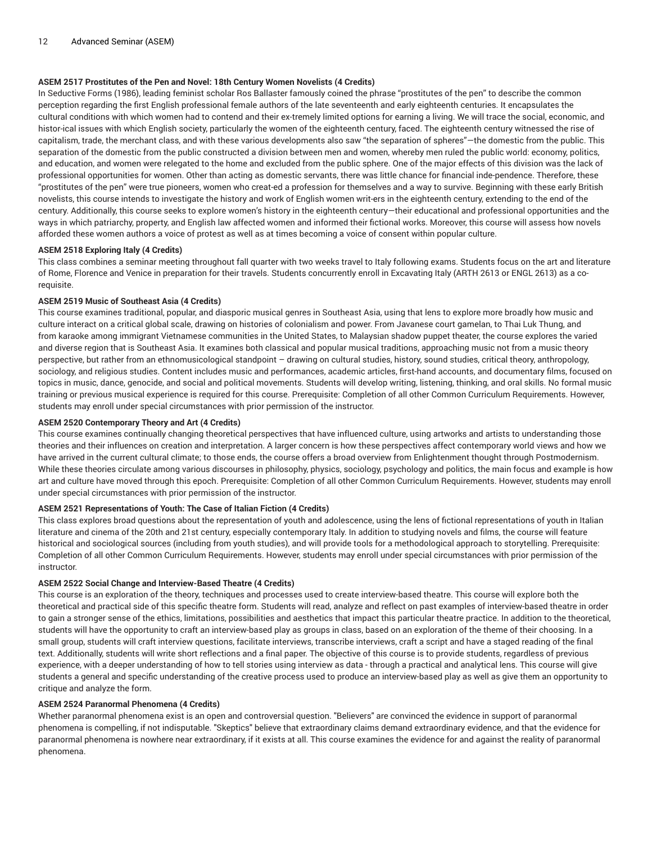# **ASEM 2517 Prostitutes of the Pen and Novel: 18th Century Women Novelists (4 Credits)**

In Seductive Forms (1986), leading feminist scholar Ros Ballaster famously coined the phrase "prostitutes of the pen" to describe the common perception regarding the first English professional female authors of the late seventeenth and early eighteenth centuries. It encapsulates the cultural conditions with which women had to contend and their ex-tremely limited options for earning a living. We will trace the social, economic, and histor-ical issues with which English society, particularly the women of the eighteenth century, faced. The eighteenth century witnessed the rise of capitalism, trade, the merchant class, and with these various developments also saw "the separation of spheres"—the domestic from the public. This separation of the domestic from the public constructed a division between men and women, whereby men ruled the public world: economy, politics, and education, and women were relegated to the home and excluded from the public sphere. One of the major effects of this division was the lack of professional opportunities for women. Other than acting as domestic servants, there was little chance for financial inde-pendence. Therefore, these "prostitutes of the pen" were true pioneers, women who creat-ed a profession for themselves and a way to survive. Beginning with these early British novelists, this course intends to investigate the history and work of English women writ-ers in the eighteenth century, extending to the end of the century. Additionally, this course seeks to explore women's history in the eighteenth century—their educational and professional opportunities and the ways in which patriarchy, property, and English law affected women and informed their fictional works. Moreover, this course will assess how novels afforded these women authors a voice of protest as well as at times becoming a voice of consent within popular culture.

## **ASEM 2518 Exploring Italy (4 Credits)**

This class combines a seminar meeting throughout fall quarter with two weeks travel to Italy following exams. Students focus on the art and literature of Rome, Florence and Venice in preparation for their travels. Students concurrently enroll in Excavating Italy (ARTH 2613 or ENGL 2613) as a corequisite.

## **ASEM 2519 Music of Southeast Asia (4 Credits)**

This course examines traditional, popular, and diasporic musical genres in Southeast Asia, using that lens to explore more broadly how music and culture interact on a critical global scale, drawing on histories of colonialism and power. From Javanese court gamelan, to Thai Luk Thung, and from karaoke among immigrant Vietnamese communities in the United States, to Malaysian shadow puppet theater, the course explores the varied and diverse region that is Southeast Asia. It examines both classical and popular musical traditions, approaching music not from a music theory perspective, but rather from an ethnomusicological standpoint – drawing on cultural studies, history, sound studies, critical theory, anthropology, sociology, and religious studies. Content includes music and performances, academic articles, first-hand accounts, and documentary films, focused on topics in music, dance, genocide, and social and political movements. Students will develop writing, listening, thinking, and oral skills. No formal music training or previous musical experience is required for this course. Prerequisite: Completion of all other Common Curriculum Requirements. However, students may enroll under special circumstances with prior permission of the instructor.

#### **ASEM 2520 Contemporary Theory and Art (4 Credits)**

This course examines continually changing theoretical perspectives that have influenced culture, using artworks and artists to understanding those theories and their influences on creation and interpretation. A larger concern is how these perspectives affect contemporary world views and how we have arrived in the current cultural climate; to those ends, the course offers a broad overview from Enlightenment thought through Postmodernism. While these theories circulate among various discourses in philosophy, physics, sociology, psychology and politics, the main focus and example is how art and culture have moved through this epoch. Prerequisite: Completion of all other Common Curriculum Requirements. However, students may enroll under special circumstances with prior permission of the instructor.

# **ASEM 2521 Representations of Youth: The Case of Italian Fiction (4 Credits)**

This class explores broad questions about the representation of youth and adolescence, using the lens of fictional representations of youth in Italian literature and cinema of the 20th and 21st century, especially contemporary Italy. In addition to studying novels and films, the course will feature historical and sociological sources (including from youth studies), and will provide tools for a methodological approach to storytelling. Prerequisite: Completion of all other Common Curriculum Requirements. However, students may enroll under special circumstances with prior permission of the instructor.

#### **ASEM 2522 Social Change and Interview-Based Theatre (4 Credits)**

This course is an exploration of the theory, techniques and processes used to create interview-based theatre. This course will explore both the theoretical and practical side of this specific theatre form. Students will read, analyze and reflect on past examples of interview-based theatre in order to gain a stronger sense of the ethics, limitations, possibilities and aesthetics that impact this particular theatre practice. In addition to the theoretical, students will have the opportunity to craft an interview-based play as groups in class, based on an exploration of the theme of their choosing. In a small group, students will craft interview questions, facilitate interviews, transcribe interviews, craft a script and have a staged reading of the final text. Additionally, students will write short reflections and a final paper. The objective of this course is to provide students, regardless of previous experience, with a deeper understanding of how to tell stories using interview as data - through a practical and analytical lens. This course will give students a general and specific understanding of the creative process used to produce an interview-based play as well as give them an opportunity to critique and analyze the form.

## **ASEM 2524 Paranormal Phenomena (4 Credits)**

Whether paranormal phenomena exist is an open and controversial question. "Believers" are convinced the evidence in support of paranormal phenomena is compelling, if not indisputable. "Skeptics" believe that extraordinary claims demand extraordinary evidence, and that the evidence for paranormal phenomena is nowhere near extraordinary, if it exists at all. This course examines the evidence for and against the reality of paranormal phenomena.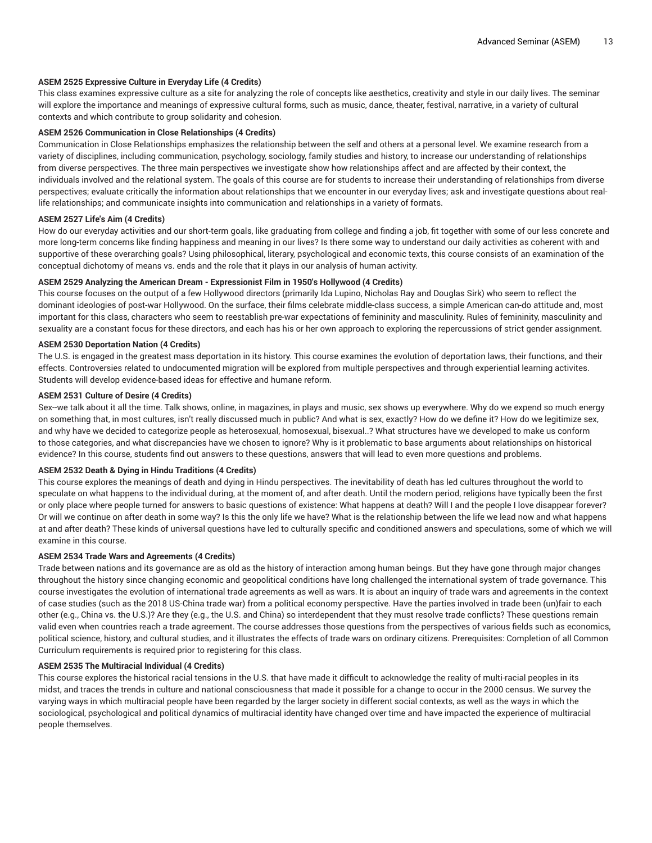## **ASEM 2525 Expressive Culture in Everyday Life (4 Credits)**

This class examines expressive culture as a site for analyzing the role of concepts like aesthetics, creativity and style in our daily lives. The seminar will explore the importance and meanings of expressive cultural forms, such as music, dance, theater, festival, narrative, in a variety of cultural contexts and which contribute to group solidarity and cohesion.

## **ASEM 2526 Communication in Close Relationships (4 Credits)**

Communication in Close Relationships emphasizes the relationship between the self and others at a personal level. We examine research from a variety of disciplines, including communication, psychology, sociology, family studies and history, to increase our understanding of relationships from diverse perspectives. The three main perspectives we investigate show how relationships affect and are affected by their context, the individuals involved and the relational system. The goals of this course are for students to increase their understanding of relationships from diverse perspectives; evaluate critically the information about relationships that we encounter in our everyday lives; ask and investigate questions about reallife relationships; and communicate insights into communication and relationships in a variety of formats.

#### **ASEM 2527 Life's Aim (4 Credits)**

How do our everyday activities and our short-term goals, like graduating from college and finding a job, fit together with some of our less concrete and more long-term concerns like finding happiness and meaning in our lives? Is there some way to understand our daily activities as coherent with and supportive of these overarching goals? Using philosophical, literary, psychological and economic texts, this course consists of an examination of the conceptual dichotomy of means vs. ends and the role that it plays in our analysis of human activity.

# **ASEM 2529 Analyzing the American Dream - Expressionist Film in 1950's Hollywood (4 Credits)**

This course focuses on the output of a few Hollywood directors (primarily Ida Lupino, Nicholas Ray and Douglas Sirk) who seem to reflect the dominant ideologies of post-war Hollywood. On the surface, their films celebrate middle-class success, a simple American can-do attitude and, most important for this class, characters who seem to reestablish pre-war expectations of femininity and masculinity. Rules of femininity, masculinity and sexuality are a constant focus for these directors, and each has his or her own approach to exploring the repercussions of strict gender assignment.

#### **ASEM 2530 Deportation Nation (4 Credits)**

The U.S. is engaged in the greatest mass deportation in its history. This course examines the evolution of deportation laws, their functions, and their effects. Controversies related to undocumented migration will be explored from multiple perspectives and through experiential learning activites. Students will develop evidence-based ideas for effective and humane reform.

#### **ASEM 2531 Culture of Desire (4 Credits)**

Sex--we talk about it all the time. Talk shows, online, in magazines, in plays and music, sex shows up everywhere. Why do we expend so much energy on something that, in most cultures, isn't really discussed much in public? And what is sex, exactly? How do we define it? How do we legitimize sex, and why have we decided to categorize people as heterosexual, homosexual, bisexual..? What structures have we developed to make us conform to those categories, and what discrepancies have we chosen to ignore? Why is it problematic to base arguments about relationships on historical evidence? In this course, students find out answers to these questions, answers that will lead to even more questions and problems.

#### **ASEM 2532 Death & Dying in Hindu Traditions (4 Credits)**

This course explores the meanings of death and dying in Hindu perspectives. The inevitability of death has led cultures throughout the world to speculate on what happens to the individual during, at the moment of, and after death. Until the modern period, religions have typically been the first or only place where people turned for answers to basic questions of existence: What happens at death? Will I and the people I love disappear forever? Or will we continue on after death in some way? Is this the only life we have? What is the relationship between the life we lead now and what happens at and after death? These kinds of universal questions have led to culturally specific and conditioned answers and speculations, some of which we will examine in this course.

#### **ASEM 2534 Trade Wars and Agreements (4 Credits)**

Trade between nations and its governance are as old as the history of interaction among human beings. But they have gone through major changes throughout the history since changing economic and geopolitical conditions have long challenged the international system of trade governance. This course investigates the evolution of international trade agreements as well as wars. It is about an inquiry of trade wars and agreements in the context of case studies (such as the 2018 US-China trade war) from a political economy perspective. Have the parties involved in trade been (un)fair to each other (e.g., China vs. the U.S.)? Are they (e.g., the U.S. and China) so interdependent that they must resolve trade conflicts? These questions remain valid even when countries reach a trade agreement. The course addresses those questions from the perspectives of various fields such as economics, political science, history, and cultural studies, and it illustrates the effects of trade wars on ordinary citizens. Prerequisites: Completion of all Common Curriculum requirements is required prior to registering for this class.

# **ASEM 2535 The Multiracial Individual (4 Credits)**

This course explores the historical racial tensions in the U.S. that have made it difficult to acknowledge the reality of multi-racial peoples in its midst, and traces the trends in culture and national consciousness that made it possible for a change to occur in the 2000 census. We survey the varying ways in which multiracial people have been regarded by the larger society in different social contexts, as well as the ways in which the sociological, psychological and political dynamics of multiracial identity have changed over time and have impacted the experience of multiracial people themselves.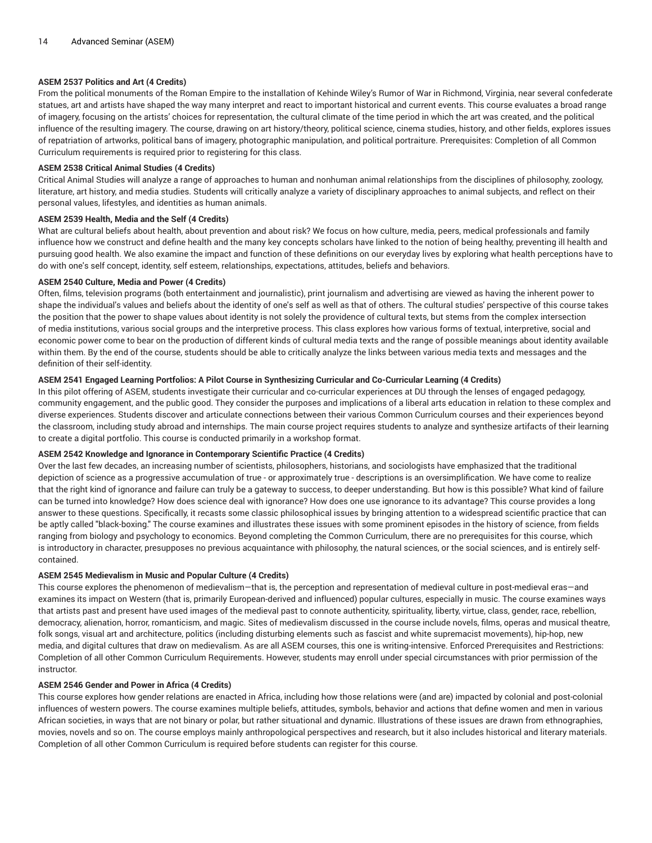# **ASEM 2537 Politics and Art (4 Credits)**

From the political monuments of the Roman Empire to the installation of Kehinde Wiley's Rumor of War in Richmond, Virginia, near several confederate statues, art and artists have shaped the way many interpret and react to important historical and current events. This course evaluates a broad range of imagery, focusing on the artists' choices for representation, the cultural climate of the time period in which the art was created, and the political influence of the resulting imagery. The course, drawing on art history/theory, political science, cinema studies, history, and other fields, explores issues of repatriation of artworks, political bans of imagery, photographic manipulation, and political portraiture. Prerequisites: Completion of all Common Curriculum requirements is required prior to registering for this class.

## **ASEM 2538 Critical Animal Studies (4 Credits)**

Critical Animal Studies will analyze a range of approaches to human and nonhuman animal relationships from the disciplines of philosophy, zoology, literature, art history, and media studies. Students will critically analyze a variety of disciplinary approaches to animal subjects, and reflect on their personal values, lifestyles, and identities as human animals.

## **ASEM 2539 Health, Media and the Self (4 Credits)**

What are cultural beliefs about health, about prevention and about risk? We focus on how culture, media, peers, medical professionals and family influence how we construct and define health and the many key concepts scholars have linked to the notion of being healthy, preventing ill health and pursuing good health. We also examine the impact and function of these definitions on our everyday lives by exploring what health perceptions have to do with one's self concept, identity, self esteem, relationships, expectations, attitudes, beliefs and behaviors.

## **ASEM 2540 Culture, Media and Power (4 Credits)**

Often, films, television programs (both entertainment and journalistic), print journalism and advertising are viewed as having the inherent power to shape the individual's values and beliefs about the identity of one's self as well as that of others. The cultural studies' perspective of this course takes the position that the power to shape values about identity is not solely the providence of cultural texts, but stems from the complex intersection of media institutions, various social groups and the interpretive process. This class explores how various forms of textual, interpretive, social and economic power come to bear on the production of different kinds of cultural media texts and the range of possible meanings about identity available within them. By the end of the course, students should be able to critically analyze the links between various media texts and messages and the definition of their self-identity.

# ASEM 2541 Engaged Learning Portfolios: A Pilot Course in Synthesizing Curricular and Co-Curricular Learning (4 Credits)

In this pilot offering of ASEM, students investigate their curricular and co-curricular experiences at DU through the lenses of engaged pedagogy, community engagement, and the public good. They consider the purposes and implications of a liberal arts education in relation to these complex and diverse experiences. Students discover and articulate connections between their various Common Curriculum courses and their experiences beyond the classroom, including study abroad and internships. The main course project requires students to analyze and synthesize artifacts of their learning to create a digital portfolio. This course is conducted primarily in a workshop format.

#### **ASEM 2542 Knowledge and Ignorance in Contemporary Scientific Practice (4 Credits)**

Over the last few decades, an increasing number of scientists, philosophers, historians, and sociologists have emphasized that the traditional depiction of science as a progressive accumulation of true - or approximately true - descriptions is an oversimplification. We have come to realize that the right kind of ignorance and failure can truly be a gateway to success, to deeper understanding. But how is this possible? What kind of failure can be turned into knowledge? How does science deal with ignorance? How does one use ignorance to its advantage? This course provides a long answer to these questions. Specifically, it recasts some classic philosophical issues by bringing attention to a widespread scientific practice that can be aptly called "black-boxing." The course examines and illustrates these issues with some prominent episodes in the history of science, from fields ranging from biology and psychology to economics. Beyond completing the Common Curriculum, there are no prerequisites for this course, which is introductory in character, presupposes no previous acquaintance with philosophy, the natural sciences, or the social sciences, and is entirely selfcontained.

#### **ASEM 2545 Medievalism in Music and Popular Culture (4 Credits)**

This course explores the phenomenon of medievalism—that is, the perception and representation of medieval culture in post-medieval eras—and examines its impact on Western (that is, primarily European-derived and influenced) popular cultures, especially in music. The course examines ways that artists past and present have used images of the medieval past to connote authenticity, spirituality, liberty, virtue, class, gender, race, rebellion, democracy, alienation, horror, romanticism, and magic. Sites of medievalism discussed in the course include novels, films, operas and musical theatre, folk songs, visual art and architecture, politics (including disturbing elements such as fascist and white supremacist movements), hip-hop, new media, and digital cultures that draw on medievalism. As are all ASEM courses, this one is writing-intensive. Enforced Prerequisites and Restrictions: Completion of all other Common Curriculum Requirements. However, students may enroll under special circumstances with prior permission of the instructor.

# **ASEM 2546 Gender and Power in Africa (4 Credits)**

This course explores how gender relations are enacted in Africa, including how those relations were (and are) impacted by colonial and post-colonial influences of western powers. The course examines multiple beliefs, attitudes, symbols, behavior and actions that define women and men in various African societies, in ways that are not binary or polar, but rather situational and dynamic. Illustrations of these issues are drawn from ethnographies, movies, novels and so on. The course employs mainly anthropological perspectives and research, but it also includes historical and literary materials. Completion of all other Common Curriculum is required before students can register for this course.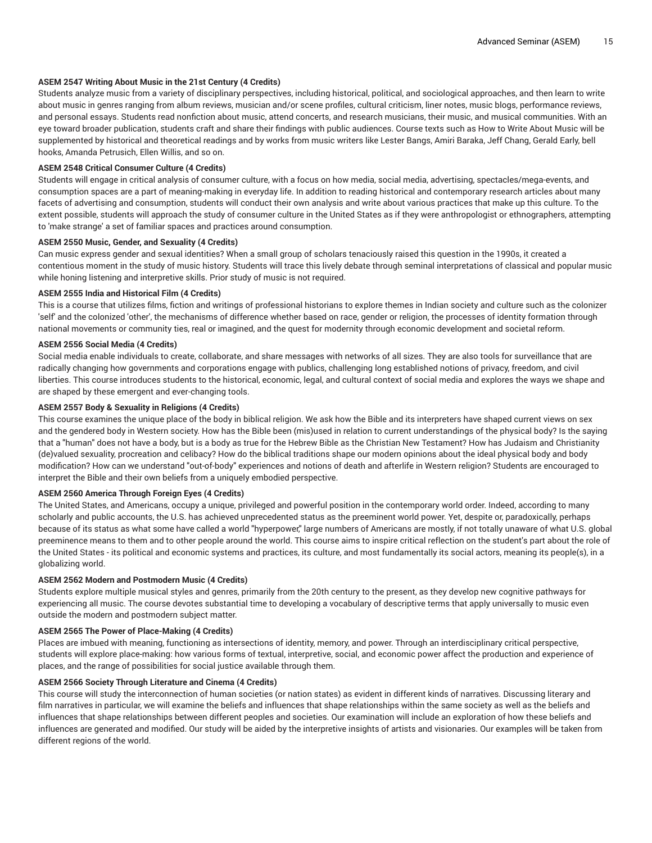# **ASEM 2547 Writing About Music in the 21st Century (4 Credits)**

Students analyze music from a variety of disciplinary perspectives, including historical, political, and sociological approaches, and then learn to write about music in genres ranging from album reviews, musician and/or scene profiles, cultural criticism, liner notes, music blogs, performance reviews, and personal essays. Students read nonfiction about music, attend concerts, and research musicians, their music, and musical communities. With an eye toward broader publication, students craft and share their findings with public audiences. Course texts such as How to Write About Music will be supplemented by historical and theoretical readings and by works from music writers like Lester Bangs, Amiri Baraka, Jeff Chang, Gerald Early, bell hooks, Amanda Petrusich, Ellen Willis, and so on.

## **ASEM 2548 Critical Consumer Culture (4 Credits)**

Students will engage in critical analysis of consumer culture, with a focus on how media, social media, advertising, spectacles/mega-events, and consumption spaces are a part of meaning-making in everyday life. In addition to reading historical and contemporary research articles about many facets of advertising and consumption, students will conduct their own analysis and write about various practices that make up this culture. To the extent possible, students will approach the study of consumer culture in the United States as if they were anthropologist or ethnographers, attempting to 'make strange' a set of familiar spaces and practices around consumption.

#### **ASEM 2550 Music, Gender, and Sexuality (4 Credits)**

Can music express gender and sexual identities? When a small group of scholars tenaciously raised this question in the 1990s, it created a contentious moment in the study of music history. Students will trace this lively debate through seminal interpretations of classical and popular music while honing listening and interpretive skills. Prior study of music is not required.

## **ASEM 2555 India and Historical Film (4 Credits)**

This is a course that utilizes films, fiction and writings of professional historians to explore themes in Indian society and culture such as the colonizer 'self' and the colonized 'other', the mechanisms of difference whether based on race, gender or religion, the processes of identity formation through national movements or community ties, real or imagined, and the quest for modernity through economic development and societal reform.

## **ASEM 2556 Social Media (4 Credits)**

Social media enable individuals to create, collaborate, and share messages with networks of all sizes. They are also tools for surveillance that are radically changing how governments and corporations engage with publics, challenging long established notions of privacy, freedom, and civil liberties. This course introduces students to the historical, economic, legal, and cultural context of social media and explores the ways we shape and are shaped by these emergent and ever-changing tools.

## **ASEM 2557 Body & Sexuality in Religions (4 Credits)**

This course examines the unique place of the body in biblical religion. We ask how the Bible and its interpreters have shaped current views on sex and the gendered body in Western society. How has the Bible been (mis)used in relation to current understandings of the physical body? Is the saying that a "human" does not have a body, but is a body as true for the Hebrew Bible as the Christian New Testament? How has Judaism and Christianity (de)valued sexuality, procreation and celibacy? How do the biblical traditions shape our modern opinions about the ideal physical body and body modification? How can we understand "out-of-body" experiences and notions of death and afterlife in Western religion? Students are encouraged to interpret the Bible and their own beliefs from a uniquely embodied perspective.

# **ASEM 2560 America Through Foreign Eyes (4 Credits)**

The United States, and Americans, occupy a unique, privileged and powerful position in the contemporary world order. Indeed, according to many scholarly and public accounts, the U.S. has achieved unprecedented status as the preeminent world power. Yet, despite or, paradoxically, perhaps because of its status as what some have called a world "hyperpower," large numbers of Americans are mostly, if not totally unaware of what U.S. global preeminence means to them and to other people around the world. This course aims to inspire critical reflection on the student's part about the role of the United States - its political and economic systems and practices, its culture, and most fundamentally its social actors, meaning its people(s), in a globalizing world.

#### **ASEM 2562 Modern and Postmodern Music (4 Credits)**

Students explore multiple musical styles and genres, primarily from the 20th century to the present, as they develop new cognitive pathways for experiencing all music. The course devotes substantial time to developing a vocabulary of descriptive terms that apply universally to music even outside the modern and postmodern subject matter.

# **ASEM 2565 The Power of Place-Making (4 Credits)**

Places are imbued with meaning, functioning as intersections of identity, memory, and power. Through an interdisciplinary critical perspective, students will explore place-making: how various forms of textual, interpretive, social, and economic power affect the production and experience of places, and the range of possibilities for social justice available through them.

# **ASEM 2566 Society Through Literature and Cinema (4 Credits)**

This course will study the interconnection of human societies (or nation states) as evident in different kinds of narratives. Discussing literary and film narratives in particular, we will examine the beliefs and influences that shape relationships within the same society as well as the beliefs and influences that shape relationships between different peoples and societies. Our examination will include an exploration of how these beliefs and influences are generated and modified. Our study will be aided by the interpretive insights of artists and visionaries. Our examples will be taken from different regions of the world.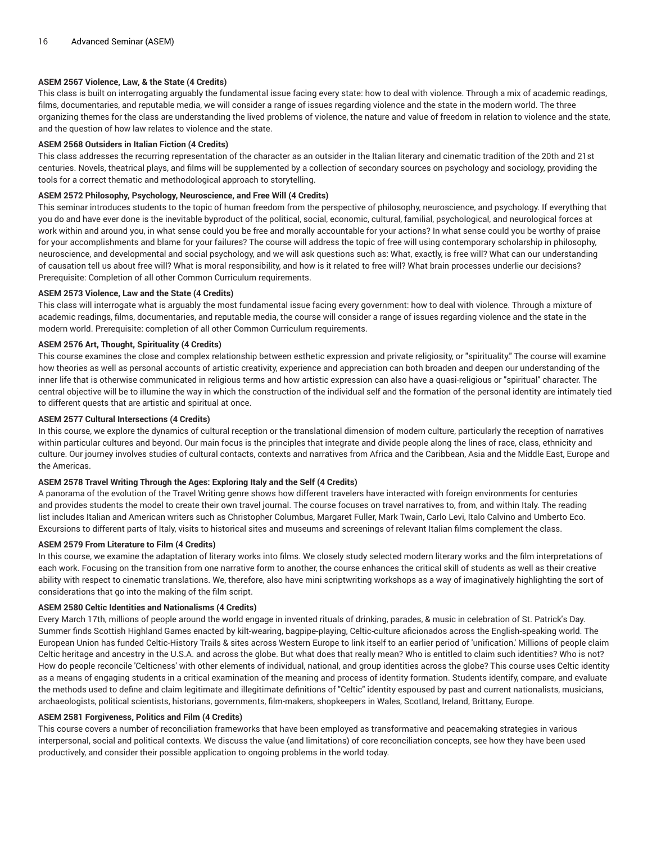# **ASEM 2567 Violence, Law, & the State (4 Credits)**

This class is built on interrogating arguably the fundamental issue facing every state: how to deal with violence. Through a mix of academic readings, films, documentaries, and reputable media, we will consider a range of issues regarding violence and the state in the modern world. The three organizing themes for the class are understanding the lived problems of violence, the nature and value of freedom in relation to violence and the state, and the question of how law relates to violence and the state.

## **ASEM 2568 Outsiders in Italian Fiction (4 Credits)**

This class addresses the recurring representation of the character as an outsider in the Italian literary and cinematic tradition of the 20th and 21st centuries. Novels, theatrical plays, and films will be supplemented by a collection of secondary sources on psychology and sociology, providing the tools for a correct thematic and methodological approach to storytelling.

## **ASEM 2572 Philosophy, Psychology, Neuroscience, and Free Will (4 Credits)**

This seminar introduces students to the topic of human freedom from the perspective of philosophy, neuroscience, and psychology. If everything that you do and have ever done is the inevitable byproduct of the political, social, economic, cultural, familial, psychological, and neurological forces at work within and around you, in what sense could you be free and morally accountable for your actions? In what sense could you be worthy of praise for your accomplishments and blame for your failures? The course will address the topic of free will using contemporary scholarship in philosophy, neuroscience, and developmental and social psychology, and we will ask questions such as: What, exactly, is free will? What can our understanding of causation tell us about free will? What is moral responsibility, and how is it related to free will? What brain processes underlie our decisions? Prerequisite: Completion of all other Common Curriculum requirements.

## **ASEM 2573 Violence, Law and the State (4 Credits)**

This class will interrogate what is arguably the most fundamental issue facing every government: how to deal with violence. Through a mixture of academic readings, films, documentaries, and reputable media, the course will consider a range of issues regarding violence and the state in the modern world. Prerequisite: completion of all other Common Curriculum requirements.

## **ASEM 2576 Art, Thought, Spirituality (4 Credits)**

This course examines the close and complex relationship between esthetic expression and private religiosity, or "spirituality." The course will examine how theories as well as personal accounts of artistic creativity, experience and appreciation can both broaden and deepen our understanding of the inner life that is otherwise communicated in religious terms and how artistic expression can also have a quasi-religious or "spiritual" character. The central objective will be to illumine the way in which the construction of the individual self and the formation of the personal identity are intimately tied to different quests that are artistic and spiritual at once.

## **ASEM 2577 Cultural Intersections (4 Credits)**

In this course, we explore the dynamics of cultural reception or the translational dimension of modern culture, particularly the reception of narratives within particular cultures and beyond. Our main focus is the principles that integrate and divide people along the lines of race, class, ethnicity and culture. Our journey involves studies of cultural contacts, contexts and narratives from Africa and the Caribbean, Asia and the Middle East, Europe and the Americas.

# **ASEM 2578 Travel Writing Through the Ages: Exploring Italy and the Self (4 Credits)**

A panorama of the evolution of the Travel Writing genre shows how different travelers have interacted with foreign environments for centuries and provides students the model to create their own travel journal. The course focuses on travel narratives to, from, and within Italy. The reading list includes Italian and American writers such as Christopher Columbus, Margaret Fuller, Mark Twain, Carlo Levi, Italo Calvino and Umberto Eco. Excursions to different parts of Italy, visits to historical sites and museums and screenings of relevant Italian films complement the class.

## **ASEM 2579 From Literature to Film (4 Credits)**

In this course, we examine the adaptation of literary works into films. We closely study selected modern literary works and the film interpretations of each work. Focusing on the transition from one narrative form to another, the course enhances the critical skill of students as well as their creative ability with respect to cinematic translations. We, therefore, also have mini scriptwriting workshops as a way of imaginatively highlighting the sort of considerations that go into the making of the film script.

## **ASEM 2580 Celtic Identities and Nationalisms (4 Credits)**

Every March 17th, millions of people around the world engage in invented rituals of drinking, parades, & music in celebration of St. Patrick's Day. Summer finds Scottish Highland Games enacted by kilt-wearing, bagpipe-playing, Celtic-culture aficionados across the English-speaking world. The European Union has funded Celtic-History Trails & sites across Western Europe to link itself to an earlier period of 'unification.' Millions of people claim Celtic heritage and ancestry in the U.S.A. and across the globe. But what does that really mean? Who is entitled to claim such identities? Who is not? How do people reconcile 'Celticness' with other elements of individual, national, and group identities across the globe? This course uses Celtic identity as a means of engaging students in a critical examination of the meaning and process of identity formation. Students identify, compare, and evaluate the methods used to define and claim legitimate and illegitimate definitions of "Celtic" identity espoused by past and current nationalists, musicians, archaeologists, political scientists, historians, governments, film-makers, shopkeepers in Wales, Scotland, Ireland, Brittany, Europe.

#### **ASEM 2581 Forgiveness, Politics and Film (4 Credits)**

This course covers a number of reconciliation frameworks that have been employed as transformative and peacemaking strategies in various interpersonal, social and political contexts. We discuss the value (and limitations) of core reconciliation concepts, see how they have been used productively, and consider their possible application to ongoing problems in the world today.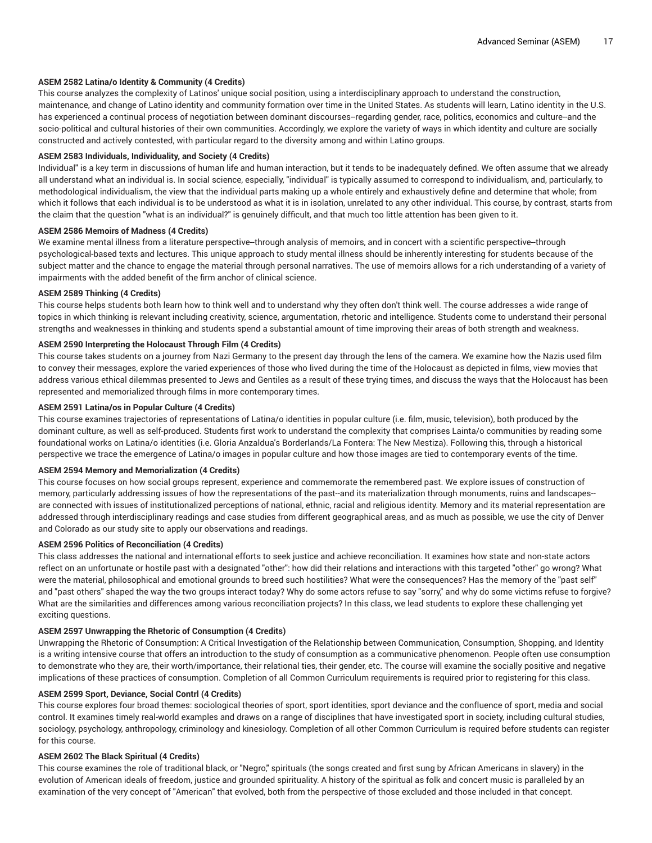# **ASEM 2582 Latina/o Identity & Community (4 Credits)**

This course analyzes the complexity of Latinos' unique social position, using a interdisciplinary approach to understand the construction, maintenance, and change of Latino identity and community formation over time in the United States. As students will learn, Latino identity in the U.S. has experienced a continual process of negotiation between dominant discourses-regarding gender, race, politics, economics and culture--and the socio-political and cultural histories of their own communities. Accordingly, we explore the variety of ways in which identity and culture are socially constructed and actively contested, with particular regard to the diversity among and within Latino groups.

# **ASEM 2583 Individuals, Individuality, and Society (4 Credits)**

Individual" is a key term in discussions of human life and human interaction, but it tends to be inadequately defined. We often assume that we already all understand what an individual is. In social science, especially, "individual" is typically assumed to correspond to individualism, and, particularly, to methodological individualism, the view that the individual parts making up a whole entirely and exhaustively define and determine that whole; from which it follows that each individual is to be understood as what it is in isolation, unrelated to any other individual. This course, by contrast, starts from the claim that the question "what is an individual?" is genuinely difficult, and that much too little attention has been given to it.

#### **ASEM 2586 Memoirs of Madness (4 Credits)**

We examine mental illness from a literature perspective--through analysis of memoirs, and in concert with a scientific perspective--through psychological-based texts and lectures. This unique approach to study mental illness should be inherently interesting for students because of the subject matter and the chance to engage the material through personal narratives. The use of memoirs allows for a rich understanding of a variety of impairments with the added benefit of the firm anchor of clinical science.

#### **ASEM 2589 Thinking (4 Credits)**

This course helps students both learn how to think well and to understand why they often don't think well. The course addresses a wide range of topics in which thinking is relevant including creativity, science, argumentation, rhetoric and intelligence. Students come to understand their personal strengths and weaknesses in thinking and students spend a substantial amount of time improving their areas of both strength and weakness.

## **ASEM 2590 Interpreting the Holocaust Through Film (4 Credits)**

This course takes students on a journey from Nazi Germany to the present day through the lens of the camera. We examine how the Nazis used film to convey their messages, explore the varied experiences of those who lived during the time of the Holocaust as depicted in films, view movies that address various ethical dilemmas presented to Jews and Gentiles as a result of these trying times, and discuss the ways that the Holocaust has been represented and memorialized through films in more contemporary times.

#### **ASEM 2591 Latina/os in Popular Culture (4 Credits)**

This course examines trajectories of representations of Latina/o identities in popular culture (i.e. film, music, television), both produced by the dominant culture, as well as self-produced. Students first work to understand the complexity that comprises Lainta/o communities by reading some foundational works on Latina/o identities (i.e. Gloria Anzaldua's Borderlands/La Fontera: The New Mestiza). Following this, through a historical perspective we trace the emergence of Latina/o images in popular culture and how those images are tied to contemporary events of the time.

#### **ASEM 2594 Memory and Memorialization (4 Credits)**

This course focuses on how social groups represent, experience and commemorate the remembered past. We explore issues of construction of memory, particularly addressing issues of how the representations of the past--and its materialization through monuments, ruins and landscapes- are connected with issues of institutionalized perceptions of national, ethnic, racial and religious identity. Memory and its material representation are addressed through interdisciplinary readings and case studies from different geographical areas, and as much as possible, we use the city of Denver and Colorado as our study site to apply our observations and readings.

## **ASEM 2596 Politics of Reconciliation (4 Credits)**

This class addresses the national and international efforts to seek justice and achieve reconciliation. It examines how state and non-state actors reflect on an unfortunate or hostile past with a designated "other": how did their relations and interactions with this targeted "other" go wrong? What were the material, philosophical and emotional grounds to breed such hostilities? What were the consequences? Has the memory of the "past self" and "past others" shaped the way the two groups interact today? Why do some actors refuse to say "sorry," and why do some victims refuse to forgive? What are the similarities and differences among various reconciliation projects? In this class, we lead students to explore these challenging yet exciting questions.

#### **ASEM 2597 Unwrapping the Rhetoric of Consumption (4 Credits)**

Unwrapping the Rhetoric of Consumption: A Critical Investigation of the Relationship between Communication, Consumption, Shopping, and Identity is a writing intensive course that offers an introduction to the study of consumption as a communicative phenomenon. People often use consumption to demonstrate who they are, their worth/importance, their relational ties, their gender, etc. The course will examine the socially positive and negative implications of these practices of consumption. Completion of all Common Curriculum requirements is required prior to registering for this class.

#### **ASEM 2599 Sport, Deviance, Social Contrl (4 Credits)**

This course explores four broad themes: sociological theories of sport, sport identities, sport deviance and the confluence of sport, media and social control. It examines timely real-world examples and draws on a range of disciplines that have investigated sport in society, including cultural studies, sociology, psychology, anthropology, criminology and kinesiology. Completion of all other Common Curriculum is required before students can register for this course.

# **ASEM 2602 The Black Spiritual (4 Credits)**

This course examines the role of traditional black, or "Negro," spirituals (the songs created and first sung by African Americans in slavery) in the evolution of American ideals of freedom, justice and grounded spirituality. A history of the spiritual as folk and concert music is paralleled by an examination of the very concept of "American" that evolved, both from the perspective of those excluded and those included in that concept.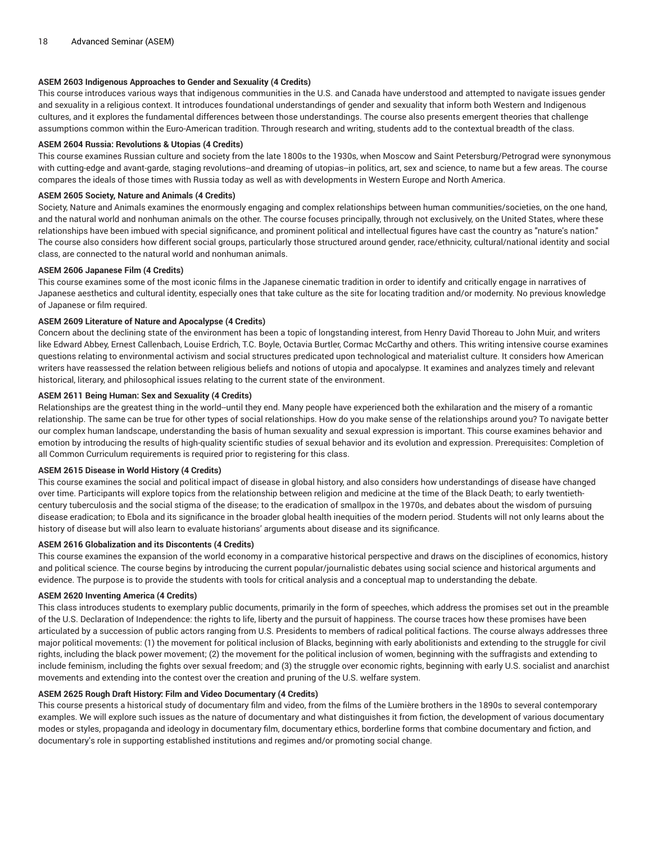# **ASEM 2603 Indigenous Approaches to Gender and Sexuality (4 Credits)**

This course introduces various ways that indigenous communities in the U.S. and Canada have understood and attempted to navigate issues gender and sexuality in a religious context. It introduces foundational understandings of gender and sexuality that inform both Western and Indigenous cultures, and it explores the fundamental differences between those understandings. The course also presents emergent theories that challenge assumptions common within the Euro-American tradition. Through research and writing, students add to the contextual breadth of the class.

## **ASEM 2604 Russia: Revolutions & Utopias (4 Credits)**

This course examines Russian culture and society from the late 1800s to the 1930s, when Moscow and Saint Petersburg/Petrograd were synonymous with cutting-edge and avant-garde, staging revolutions--and dreaming of utopias-in politics, art, sex and science, to name but a few areas. The course compares the ideals of those times with Russia today as well as with developments in Western Europe and North America.

## **ASEM 2605 Society, Nature and Animals (4 Credits)**

Society, Nature and Animals examines the enormously engaging and complex relationships between human communities/societies, on the one hand, and the natural world and nonhuman animals on the other. The course focuses principally, through not exclusively, on the United States, where these relationships have been imbued with special significance, and prominent political and intellectual figures have cast the country as "nature's nation." The course also considers how different social groups, particularly those structured around gender, race/ethnicity, cultural/national identity and social class, are connected to the natural world and nonhuman animals.

## **ASEM 2606 Japanese Film (4 Credits)**

This course examines some of the most iconic films in the Japanese cinematic tradition in order to identify and critically engage in narratives of Japanese aesthetics and cultural identity, especially ones that take culture as the site for locating tradition and/or modernity. No previous knowledge of Japanese or film required.

# **ASEM 2609 Literature of Nature and Apocalypse (4 Credits)**

Concern about the declining state of the environment has been a topic of longstanding interest, from Henry David Thoreau to John Muir, and writers like Edward Abbey, Ernest Callenbach, Louise Erdrich, T.C. Boyle, Octavia Burtler, Cormac McCarthy and others. This writing intensive course examines questions relating to environmental activism and social structures predicated upon technological and materialist culture. It considers how American writers have reassessed the relation between religious beliefs and notions of utopia and apocalypse. It examines and analyzes timely and relevant historical, literary, and philosophical issues relating to the current state of the environment.

## **ASEM 2611 Being Human: Sex and Sexuality (4 Credits)**

Relationships are the greatest thing in the world--until they end. Many people have experienced both the exhilaration and the misery of a romantic relationship. The same can be true for other types of social relationships. How do you make sense of the relationships around you? To navigate better our complex human landscape, understanding the basis of human sexuality and sexual expression is important. This course examines behavior and emotion by introducing the results of high-quality scientific studies of sexual behavior and its evolution and expression. Prerequisites: Completion of all Common Curriculum requirements is required prior to registering for this class.

#### **ASEM 2615 Disease in World History (4 Credits)**

This course examines the social and political impact of disease in global history, and also considers how understandings of disease have changed over time. Participants will explore topics from the relationship between religion and medicine at the time of the Black Death; to early twentiethcentury tuberculosis and the social stigma of the disease; to the eradication of smallpox in the 1970s, and debates about the wisdom of pursuing disease eradication; to Ebola and its significance in the broader global health inequities of the modern period. Students will not only learns about the history of disease but will also learn to evaluate historians' arguments about disease and its significance.

## **ASEM 2616 Globalization and its Discontents (4 Credits)**

This course examines the expansion of the world economy in a comparative historical perspective and draws on the disciplines of economics, history and political science. The course begins by introducing the current popular/journalistic debates using social science and historical arguments and evidence. The purpose is to provide the students with tools for critical analysis and a conceptual map to understanding the debate.

# **ASEM 2620 Inventing America (4 Credits)**

This class introduces students to exemplary public documents, primarily in the form of speeches, which address the promises set out in the preamble of the U.S. Declaration of Independence: the rights to life, liberty and the pursuit of happiness. The course traces how these promises have been articulated by a succession of public actors ranging from U.S. Presidents to members of radical political factions. The course always addresses three major political movements: (1) the movement for political inclusion of Blacks, beginning with early abolitionists and extending to the struggle for civil rights, including the black power movement; (2) the movement for the political inclusion of women, beginning with the suffragists and extending to include feminism, including the fights over sexual freedom; and (3) the struggle over economic rights, beginning with early U.S. socialist and anarchist movements and extending into the contest over the creation and pruning of the U.S. welfare system.

# **ASEM 2625 Rough Draft History: Film and Video Documentary (4 Credits)**

This course presents a historical study of documentary film and video, from the films of the Lumière brothers in the 1890s to several contemporary examples. We will explore such issues as the nature of documentary and what distinguishes it from fiction, the development of various documentary modes or styles, propaganda and ideology in documentary film, documentary ethics, borderline forms that combine documentary and fiction, and documentary's role in supporting established institutions and regimes and/or promoting social change.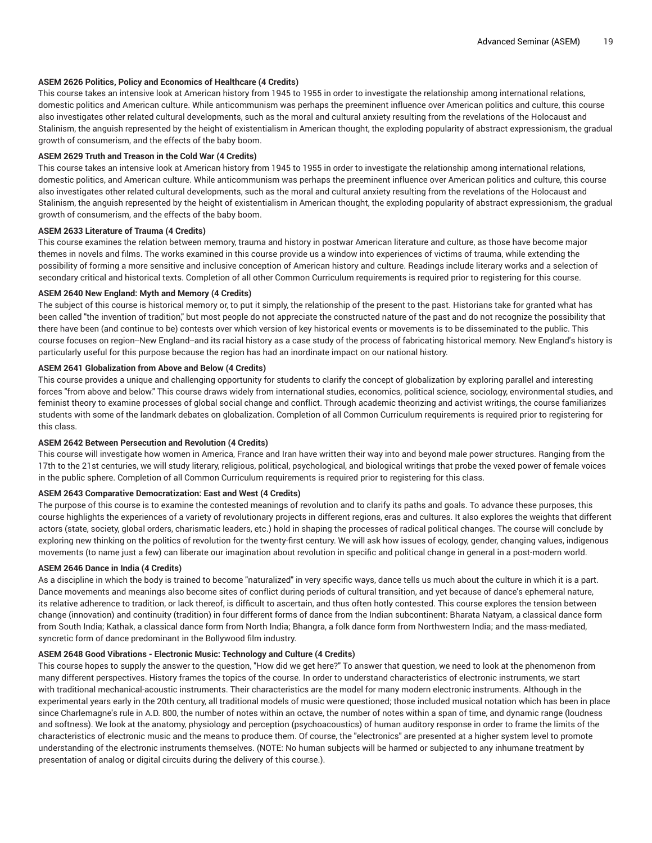# **ASEM 2626 Politics, Policy and Economics of Healthcare (4 Credits)**

This course takes an intensive look at American history from 1945 to 1955 in order to investigate the relationship among international relations, domestic politics and American culture. While anticommunism was perhaps the preeminent influence over American politics and culture, this course also investigates other related cultural developments, such as the moral and cultural anxiety resulting from the revelations of the Holocaust and Stalinism, the anguish represented by the height of existentialism in American thought, the exploding popularity of abstract expressionism, the gradual growth of consumerism, and the effects of the baby boom.

## **ASEM 2629 Truth and Treason in the Cold War (4 Credits)**

This course takes an intensive look at American history from 1945 to 1955 in order to investigate the relationship among international relations, domestic politics, and American culture. While anticommunism was perhaps the preeminent influence over American politics and culture, this course also investigates other related cultural developments, such as the moral and cultural anxiety resulting from the revelations of the Holocaust and Stalinism, the anguish represented by the height of existentialism in American thought, the exploding popularity of abstract expressionism, the gradual growth of consumerism, and the effects of the baby boom.

## **ASEM 2633 Literature of Trauma (4 Credits)**

This course examines the relation between memory, trauma and history in postwar American literature and culture, as those have become major themes in novels and films. The works examined in this course provide us a window into experiences of victims of trauma, while extending the possibility of forming a more sensitive and inclusive conception of American history and culture. Readings include literary works and a selection of secondary critical and historical texts. Completion of all other Common Curriculum requirements is required prior to registering for this course.

## **ASEM 2640 New England: Myth and Memory (4 Credits)**

The subject of this course is historical memory or, to put it simply, the relationship of the present to the past. Historians take for granted what has been called "the invention of tradition," but most people do not appreciate the constructed nature of the past and do not recognize the possibility that there have been (and continue to be) contests over which version of key historical events or movements is to be disseminated to the public. This course focuses on region--New England--and its racial history as a case study of the process of fabricating historical memory. New England's history is particularly useful for this purpose because the region has had an inordinate impact on our national history.

# **ASEM 2641 Globalization from Above and Below (4 Credits)**

This course provides a unique and challenging opportunity for students to clarify the concept of globalization by exploring parallel and interesting forces "from above and below." This course draws widely from international studies, economics, political science, sociology, environmental studies, and feminist theory to examine processes of global social change and conflict. Through academic theorizing and activist writings, the course familiarizes students with some of the landmark debates on globalization. Completion of all Common Curriculum requirements is required prior to registering for this class.

# **ASEM 2642 Between Persecution and Revolution (4 Credits)**

This course will investigate how women in America, France and Iran have written their way into and beyond male power structures. Ranging from the 17th to the 21st centuries, we will study literary, religious, political, psychological, and biological writings that probe the vexed power of female voices in the public sphere. Completion of all Common Curriculum requirements is required prior to registering for this class.

# **ASEM 2643 Comparative Democratization: East and West (4 Credits)**

The purpose of this course is to examine the contested meanings of revolution and to clarify its paths and goals. To advance these purposes, this course highlights the experiences of a variety of revolutionary projects in different regions, eras and cultures. It also explores the weights that different actors (state, society, global orders, charismatic leaders, etc.) hold in shaping the processes of radical political changes. The course will conclude by exploring new thinking on the politics of revolution for the twenty-first century. We will ask how issues of ecology, gender, changing values, indigenous movements (to name just a few) can liberate our imagination about revolution in specific and political change in general in a post-modern world.

# **ASEM 2646 Dance in India (4 Credits)**

As a discipline in which the body is trained to become "naturalized" in very specific ways, dance tells us much about the culture in which it is a part. Dance movements and meanings also become sites of conflict during periods of cultural transition, and yet because of dance's ephemeral nature, its relative adherence to tradition, or lack thereof, is difficult to ascertain, and thus often hotly contested. This course explores the tension between change (innovation) and continuity (tradition) in four different forms of dance from the Indian subcontinent: Bharata Natyam, a classical dance form from South India; Kathak, a classical dance form from North India; Bhangra, a folk dance form from Northwestern India; and the mass-mediated, syncretic form of dance predominant in the Bollywood film industry.

# **ASEM 2648 Good Vibrations - Electronic Music: Technology and Culture (4 Credits)**

This course hopes to supply the answer to the question, "How did we get here?" To answer that question, we need to look at the phenomenon from many different perspectives. History frames the topics of the course. In order to understand characteristics of electronic instruments, we start with traditional mechanical-acoustic instruments. Their characteristics are the model for many modern electronic instruments. Although in the experimental years early in the 20th century, all traditional models of music were questioned; those included musical notation which has been in place since Charlemagne's rule in A.D. 800, the number of notes within an octave, the number of notes within a span of time, and dynamic range (loudness and softness). We look at the anatomy, physiology and perception (psychoacoustics) of human auditory response in order to frame the limits of the characteristics of electronic music and the means to produce them. Of course, the "electronics" are presented at a higher system level to promote understanding of the electronic instruments themselves. (NOTE: No human subjects will be harmed or subjected to any inhumane treatment by presentation of analog or digital circuits during the delivery of this course.).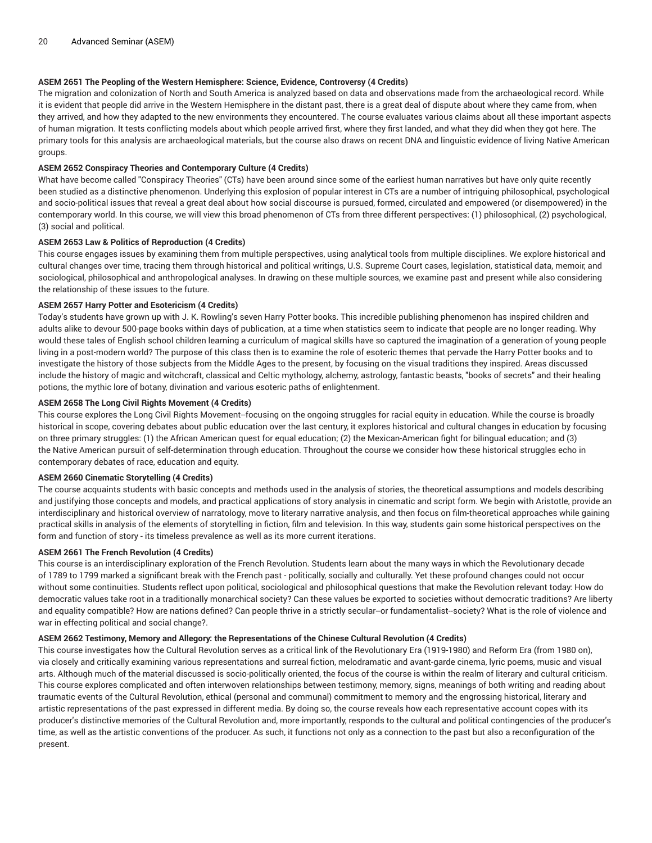# **ASEM 2651 The Peopling of the Western Hemisphere: Science, Evidence, Controversy (4 Credits)**

The migration and colonization of North and South America is analyzed based on data and observations made from the archaeological record. While it is evident that people did arrive in the Western Hemisphere in the distant past, there is a great deal of dispute about where they came from, when they arrived, and how they adapted to the new environments they encountered. The course evaluates various claims about all these important aspects of human migration. It tests conflicting models about which people arrived first, where they first landed, and what they did when they got here. The primary tools for this analysis are archaeological materials, but the course also draws on recent DNA and linguistic evidence of living Native American groups.

## **ASEM 2652 Conspiracy Theories and Contemporary Culture (4 Credits)**

What have become called "Conspiracy Theories" (CTs) have been around since some of the earliest human narratives but have only quite recently been studied as a distinctive phenomenon. Underlying this explosion of popular interest in CTs are a number of intriguing philosophical, psychological and socio-political issues that reveal a great deal about how social discourse is pursued, formed, circulated and empowered (or disempowered) in the contemporary world. In this course, we will view this broad phenomenon of CTs from three different perspectives: (1) philosophical, (2) psychological, (3) social and political.

## **ASEM 2653 Law & Politics of Reproduction (4 Credits)**

This course engages issues by examining them from multiple perspectives, using analytical tools from multiple disciplines. We explore historical and cultural changes over time, tracing them through historical and political writings, U.S. Supreme Court cases, legislation, statistical data, memoir, and sociological, philosophical and anthropological analyses. In drawing on these multiple sources, we examine past and present while also considering the relationship of these issues to the future.

## **ASEM 2657 Harry Potter and Esotericism (4 Credits)**

Today's students have grown up with J. K. Rowling's seven Harry Potter books. This incredible publishing phenomenon has inspired children and adults alike to devour 500-page books within days of publication, at a time when statistics seem to indicate that people are no longer reading. Why would these tales of English school children learning a curriculum of magical skills have so captured the imagination of a generation of young people living in a post-modern world? The purpose of this class then is to examine the role of esoteric themes that pervade the Harry Potter books and to investigate the history of those subjects from the Middle Ages to the present, by focusing on the visual traditions they inspired. Areas discussed include the history of magic and witchcraft, classical and Celtic mythology, alchemy, astrology, fantastic beasts, "books of secrets" and their healing potions, the mythic lore of botany, divination and various esoteric paths of enlightenment.

## **ASEM 2658 The Long Civil Rights Movement (4 Credits)**

This course explores the Long Civil Rights Movement--focusing on the ongoing struggles for racial equity in education. While the course is broadly historical in scope, covering debates about public education over the last century, it explores historical and cultural changes in education by focusing on three primary struggles: (1) the African American quest for equal education; (2) the Mexican-American fight for bilingual education; and (3) the Native American pursuit of self-determination through education. Throughout the course we consider how these historical struggles echo in contemporary debates of race, education and equity.

# **ASEM 2660 Cinematic Storytelling (4 Credits)**

The course acquaints students with basic concepts and methods used in the analysis of stories, the theoretical assumptions and models describing and justifying those concepts and models, and practical applications of story analysis in cinematic and script form. We begin with Aristotle, provide an interdisciplinary and historical overview of narratology, move to literary narrative analysis, and then focus on film-theoretical approaches while gaining practical skills in analysis of the elements of storytelling in fiction, film and television. In this way, students gain some historical perspectives on the form and function of story - its timeless prevalence as well as its more current iterations.

#### **ASEM 2661 The French Revolution (4 Credits)**

This course is an interdisciplinary exploration of the French Revolution. Students learn about the many ways in which the Revolutionary decade of 1789 to 1799 marked a significant break with the French past - politically, socially and culturally. Yet these profound changes could not occur without some continuities. Students reflect upon political, sociological and philosophical questions that make the Revolution relevant today: How do democratic values take root in a traditionally monarchical society? Can these values be exported to societies without democratic traditions? Are liberty and equality compatible? How are nations defined? Can people thrive in a strictly secular-or fundamentalist-society? What is the role of violence and war in effecting political and social change?.

#### **ASEM 2662 Testimony, Memory and Allegory: the Representations of the Chinese Cultural Revolution (4 Credits)**

This course investigates how the Cultural Revolution serves as a critical link of the Revolutionary Era (1919-1980) and Reform Era (from 1980 on), via closely and critically examining various representations and surreal fiction, melodramatic and avant-garde cinema, lyric poems, music and visual arts. Although much of the material discussed is socio-politically oriented, the focus of the course is within the realm of literary and cultural criticism. This course explores complicated and often interwoven relationships between testimony, memory, signs, meanings of both writing and reading about traumatic events of the Cultural Revolution, ethical (personal and communal) commitment to memory and the engrossing historical, literary and artistic representations of the past expressed in different media. By doing so, the course reveals how each representative account copes with its producer's distinctive memories of the Cultural Revolution and, more importantly, responds to the cultural and political contingencies of the producer's time, as well as the artistic conventions of the producer. As such, it functions not only as a connection to the past but also a reconfiguration of the present.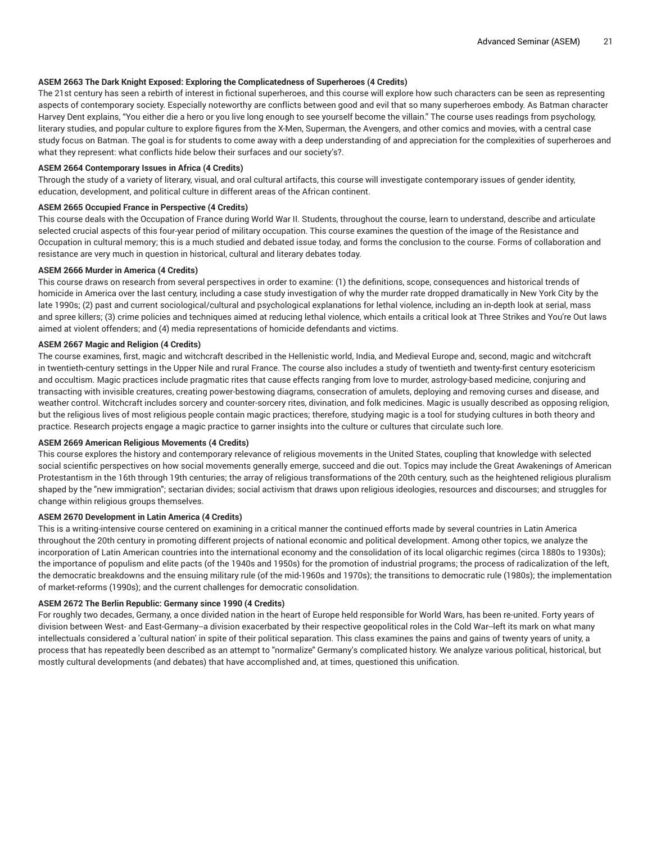# **ASEM 2663 The Dark Knight Exposed: Exploring the Complicatedness of Superheroes (4 Credits)**

The 21st century has seen a rebirth of interest in fictional superheroes, and this course will explore how such characters can be seen as representing aspects of contemporary society. Especially noteworthy are conflicts between good and evil that so many superheroes embody. As Batman character Harvey Dent explains, "You either die a hero or you live long enough to see yourself become the villain." The course uses readings from psychology, literary studies, and popular culture to explore figures from the X-Men, Superman, the Avengers, and other comics and movies, with a central case study focus on Batman. The goal is for students to come away with a deep understanding of and appreciation for the complexities of superheroes and what they represent: what conflicts hide below their surfaces and our society's?.

## **ASEM 2664 Contemporary Issues in Africa (4 Credits)**

Through the study of a variety of literary, visual, and oral cultural artifacts, this course will investigate contemporary issues of gender identity, education, development, and political culture in different areas of the African continent.

#### **ASEM 2665 Occupied France in Perspective (4 Credits)**

This course deals with the Occupation of France during World War II. Students, throughout the course, learn to understand, describe and articulate selected crucial aspects of this four-year period of military occupation. This course examines the question of the image of the Resistance and Occupation in cultural memory; this is a much studied and debated issue today, and forms the conclusion to the course. Forms of collaboration and resistance are very much in question in historical, cultural and literary debates today.

#### **ASEM 2666 Murder in America (4 Credits)**

This course draws on research from several perspectives in order to examine: (1) the definitions, scope, consequences and historical trends of homicide in America over the last century, including a case study investigation of why the murder rate dropped dramatically in New York City by the late 1990s; (2) past and current sociological/cultural and psychological explanations for lethal violence, including an in-depth look at serial, mass and spree killers; (3) crime policies and techniques aimed at reducing lethal violence, which entails a critical look at Three Strikes and You're Out laws aimed at violent offenders; and (4) media representations of homicide defendants and victims.

#### **ASEM 2667 Magic and Religion (4 Credits)**

The course examines, first, magic and witchcraft described in the Hellenistic world, India, and Medieval Europe and, second, magic and witchcraft in twentieth-century settings in the Upper Nile and rural France. The course also includes a study of twentieth and twenty-first century esotericism and occultism. Magic practices include pragmatic rites that cause effects ranging from love to murder, astrology-based medicine, conjuring and transacting with invisible creatures, creating power-bestowing diagrams, consecration of amulets, deploying and removing curses and disease, and weather control. Witchcraft includes sorcery and counter-sorcery rites, divination, and folk medicines. Magic is usually described as opposing religion, but the religious lives of most religious people contain magic practices; therefore, studying magic is a tool for studying cultures in both theory and practice. Research projects engage a magic practice to garner insights into the culture or cultures that circulate such lore.

#### **ASEM 2669 American Religious Movements (4 Credits)**

This course explores the history and contemporary relevance of religious movements in the United States, coupling that knowledge with selected social scientific perspectives on how social movements generally emerge, succeed and die out. Topics may include the Great Awakenings of American Protestantism in the 16th through 19th centuries; the array of religious transformations of the 20th century, such as the heightened religious pluralism shaped by the "new immigration"; sectarian divides; social activism that draws upon religious ideologies, resources and discourses; and struggles for change within religious groups themselves.

#### **ASEM 2670 Development in Latin America (4 Credits)**

This is a writing-intensive course centered on examining in a critical manner the continued efforts made by several countries in Latin America throughout the 20th century in promoting different projects of national economic and political development. Among other topics, we analyze the incorporation of Latin American countries into the international economy and the consolidation of its local oligarchic regimes (circa 1880s to 1930s); the importance of populism and elite pacts (of the 1940s and 1950s) for the promotion of industrial programs; the process of radicalization of the left, the democratic breakdowns and the ensuing military rule (of the mid-1960s and 1970s); the transitions to democratic rule (1980s); the implementation of market-reforms (1990s); and the current challenges for democratic consolidation.

#### **ASEM 2672 The Berlin Republic: Germany since 1990 (4 Credits)**

For roughly two decades, Germany, a once divided nation in the heart of Europe held responsible for World Wars, has been re-united. Forty years of division between West- and East-Germany--a division exacerbated by their respective geopolitical roles in the Cold War--left its mark on what many intellectuals considered a 'cultural nation' in spite of their political separation. This class examines the pains and gains of twenty years of unity, a process that has repeatedly been described as an attempt to "normalize" Germany's complicated history. We analyze various political, historical, but mostly cultural developments (and debates) that have accomplished and, at times, questioned this unification.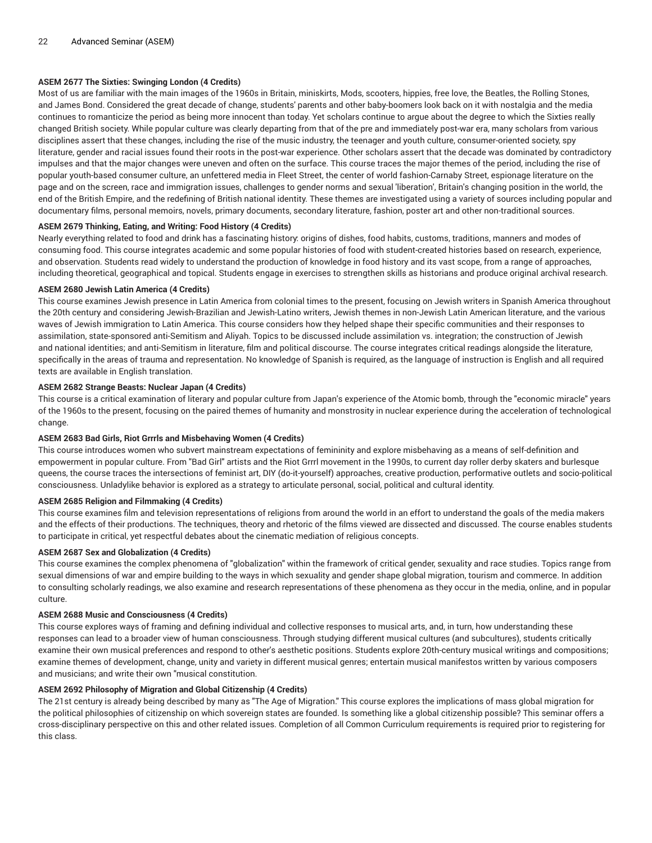# **ASEM 2677 The Sixties: Swinging London (4 Credits)**

Most of us are familiar with the main images of the 1960s in Britain, miniskirts, Mods, scooters, hippies, free love, the Beatles, the Rolling Stones, and James Bond. Considered the great decade of change, students' parents and other baby-boomers look back on it with nostalgia and the media continues to romanticize the period as being more innocent than today. Yet scholars continue to argue about the degree to which the Sixties really changed British society. While popular culture was clearly departing from that of the pre and immediately post-war era, many scholars from various disciplines assert that these changes, including the rise of the music industry, the teenager and youth culture, consumer-oriented society, spy literature, gender and racial issues found their roots in the post-war experience. Other scholars assert that the decade was dominated by contradictory impulses and that the major changes were uneven and often on the surface. This course traces the major themes of the period, including the rise of popular youth-based consumer culture, an unfettered media in Fleet Street, the center of world fashion-Carnaby Street, espionage literature on the page and on the screen, race and immigration issues, challenges to gender norms and sexual 'liberation', Britain's changing position in the world, the end of the British Empire, and the redefining of British national identity. These themes are investigated using a variety of sources including popular and documentary films, personal memoirs, novels, primary documents, secondary literature, fashion, poster art and other non-traditional sources.

# **ASEM 2679 Thinking, Eating, and Writing: Food History (4 Credits)**

Nearly everything related to food and drink has a fascinating history: origins of dishes, food habits, customs, traditions, manners and modes of consuming food. This course integrates academic and some popular histories of food with student-created histories based on research, experience, and observation. Students read widely to understand the production of knowledge in food history and its vast scope, from a range of approaches, including theoretical, geographical and topical. Students engage in exercises to strengthen skills as historians and produce original archival research.

# **ASEM 2680 Jewish Latin America (4 Credits)**

This course examines Jewish presence in Latin America from colonial times to the present, focusing on Jewish writers in Spanish America throughout the 20th century and considering Jewish-Brazilian and Jewish-Latino writers, Jewish themes in non-Jewish Latin American literature, and the various waves of Jewish immigration to Latin America. This course considers how they helped shape their specific communities and their responses to assimilation, state-sponsored anti-Semitism and Aliyah. Topics to be discussed include assimilation vs. integration; the construction of Jewish and national identities; and anti-Semitism in literature, film and political discourse. The course integrates critical readings alongside the literature, specifically in the areas of trauma and representation. No knowledge of Spanish is required, as the language of instruction is English and all required texts are available in English translation.

# **ASEM 2682 Strange Beasts: Nuclear Japan (4 Credits)**

This course is a critical examination of literary and popular culture from Japan's experience of the Atomic bomb, through the "economic miracle" years of the 1960s to the present, focusing on the paired themes of humanity and monstrosity in nuclear experience during the acceleration of technological change.

# **ASEM 2683 Bad Girls, Riot Grrrls and Misbehaving Women (4 Credits)**

This course introduces women who subvert mainstream expectations of femininity and explore misbehaving as a means of self-definition and empowerment in popular culture. From "Bad Girl" artists and the Riot Grrrl movement in the 1990s, to current day roller derby skaters and burlesque queens, the course traces the intersections of feminist art, DIY (do-it-yourself) approaches, creative production, performative outlets and socio-political consciousness. Unladylike behavior is explored as a strategy to articulate personal, social, political and cultural identity.

# **ASEM 2685 Religion and Filmmaking (4 Credits)**

This course examines film and television representations of religions from around the world in an effort to understand the goals of the media makers and the effects of their productions. The techniques, theory and rhetoric of the films viewed are dissected and discussed. The course enables students to participate in critical, yet respectful debates about the cinematic mediation of religious concepts.

# **ASEM 2687 Sex and Globalization (4 Credits)**

This course examines the complex phenomena of "globalization" within the framework of critical gender, sexuality and race studies. Topics range from sexual dimensions of war and empire building to the ways in which sexuality and gender shape global migration, tourism and commerce. In addition to consulting scholarly readings, we also examine and research representations of these phenomena as they occur in the media, online, and in popular culture.

# **ASEM 2688 Music and Consciousness (4 Credits)**

This course explores ways of framing and defining individual and collective responses to musical arts, and, in turn, how understanding these responses can lead to a broader view of human consciousness. Through studying different musical cultures (and subcultures), students critically examine their own musical preferences and respond to other's aesthetic positions. Students explore 20th-century musical writings and compositions; examine themes of development, change, unity and variety in different musical genres; entertain musical manifestos written by various composers and musicians; and write their own "musical constitution.

# **ASEM 2692 Philosophy of Migration and Global Citizenship (4 Credits)**

The 21st century is already being described by many as "The Age of Migration." This course explores the implications of mass global migration for the political philosophies of citizenship on which sovereign states are founded. Is something like a global citizenship possible? This seminar offers a cross-disciplinary perspective on this and other related issues. Completion of all Common Curriculum requirements is required prior to registering for this class.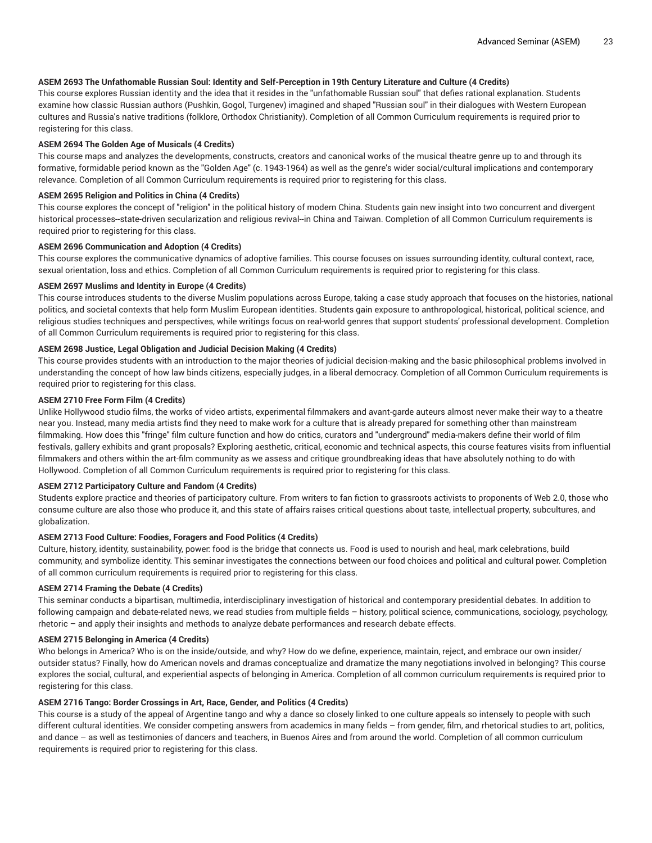# ASEM 2693 The Unfathomable Russian Soul: Identity and Self-Perception in 19th Century Literature and Culture (4 Credits)

This course explores Russian identity and the idea that it resides in the "unfathomable Russian soul" that defies rational explanation. Students examine how classic Russian authors (Pushkin, Gogol, Turgenev) imagined and shaped "Russian soul" in their dialogues with Western European cultures and Russia's native traditions (folklore, Orthodox Christianity). Completion of all Common Curriculum requirements is required prior to registering for this class.

## **ASEM 2694 The Golden Age of Musicals (4 Credits)**

This course maps and analyzes the developments, constructs, creators and canonical works of the musical theatre genre up to and through its formative, formidable period known as the "Golden Age" (c. 1943-1964) as well as the genre's wider social/cultural implications and contemporary relevance. Completion of all Common Curriculum requirements is required prior to registering for this class.

## **ASEM 2695 Religion and Politics in China (4 Credits)**

This course explores the concept of "religion" in the political history of modern China. Students gain new insight into two concurrent and divergent historical processes--state-driven secularization and religious revival--in China and Taiwan. Completion of all Common Curriculum requirements is required prior to registering for this class.

## **ASEM 2696 Communication and Adoption (4 Credits)**

This course explores the communicative dynamics of adoptive families. This course focuses on issues surrounding identity, cultural context, race, sexual orientation, loss and ethics. Completion of all Common Curriculum requirements is required prior to registering for this class.

## **ASEM 2697 Muslims and Identity in Europe (4 Credits)**

This course introduces students to the diverse Muslim populations across Europe, taking a case study approach that focuses on the histories, national politics, and societal contexts that help form Muslim European identities. Students gain exposure to anthropological, historical, political science, and religious studies techniques and perspectives, while writings focus on real-world genres that support students' professional development. Completion of all Common Curriculum requirements is required prior to registering for this class.

## **ASEM 2698 Justice, Legal Obligation and Judicial Decision Making (4 Credits)**

This course provides students with an introduction to the major theories of judicial decision-making and the basic philosophical problems involved in understanding the concept of how law binds citizens, especially judges, in a liberal democracy. Completion of all Common Curriculum requirements is required prior to registering for this class.

## **ASEM 2710 Free Form Film (4 Credits)**

Unlike Hollywood studio films, the works of video artists, experimental filmmakers and avant-garde auteurs almost never make their way to a theatre near you. Instead, many media artists find they need to make work for a culture that is already prepared for something other than mainstream filmmaking. How does this "fringe" film culture function and how do critics, curators and "underground" media-makers define their world of film festivals, gallery exhibits and grant proposals? Exploring aesthetic, critical, economic and technical aspects, this course features visits from influential filmmakers and others within the art-film community as we assess and critique groundbreaking ideas that have absolutely nothing to do with Hollywood. Completion of all Common Curriculum requirements is required prior to registering for this class.

# **ASEM 2712 Participatory Culture and Fandom (4 Credits)**

Students explore practice and theories of participatory culture. From writers to fan fiction to grassroots activists to proponents of Web 2.0, those who consume culture are also those who produce it, and this state of affairs raises critical questions about taste, intellectual property, subcultures, and globalization.

# **ASEM 2713 Food Culture: Foodies, Foragers and Food Politics (4 Credits)**

Culture, history, identity, sustainability, power: food is the bridge that connects us. Food is used to nourish and heal, mark celebrations, build community, and symbolize identity. This seminar investigates the connections between our food choices and political and cultural power. Completion of all common curriculum requirements is required prior to registering for this class.

#### **ASEM 2714 Framing the Debate (4 Credits)**

This seminar conducts a bipartisan, multimedia, interdisciplinary investigation of historical and contemporary presidential debates. In addition to following campaign and debate-related news, we read studies from multiple fields – history, political science, communications, sociology, psychology, rhetoric – and apply their insights and methods to analyze debate performances and research debate effects.

#### **ASEM 2715 Belonging in America (4 Credits)**

Who belongs in America? Who is on the inside/outside, and why? How do we define, experience, maintain, reject, and embrace our own insider/ outsider status? Finally, how do American novels and dramas conceptualize and dramatize the many negotiations involved in belonging? This course explores the social, cultural, and experiential aspects of belonging in America. Completion of all common curriculum requirements is required prior to registering for this class.

# **ASEM 2716 Tango: Border Crossings in Art, Race, Gender, and Politics (4 Credits)**

This course is a study of the appeal of Argentine tango and why a dance so closely linked to one culture appeals so intensely to people with such different cultural identities. We consider competing answers from academics in many fields – from gender, film, and rhetorical studies to art, politics, and dance – as well as testimonies of dancers and teachers, in Buenos Aires and from around the world. Completion of all common curriculum requirements is required prior to registering for this class.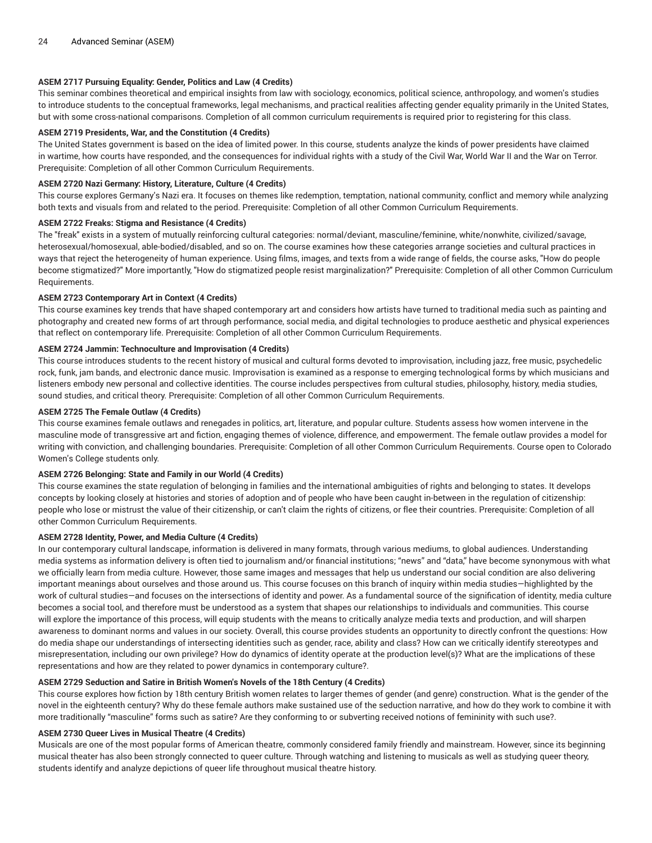# **ASEM 2717 Pursuing Equality: Gender, Politics and Law (4 Credits)**

This seminar combines theoretical and empirical insights from law with sociology, economics, political science, anthropology, and women's studies to introduce students to the conceptual frameworks, legal mechanisms, and practical realities affecting gender equality primarily in the United States, but with some cross-national comparisons. Completion of all common curriculum requirements is required prior to registering for this class.

## **ASEM 2719 Presidents, War, and the Constitution (4 Credits)**

The United States government is based on the idea of limited power. In this course, students analyze the kinds of power presidents have claimed in wartime, how courts have responded, and the consequences for individual rights with a study of the Civil War, World War II and the War on Terror. Prerequisite: Completion of all other Common Curriculum Requirements.

## **ASEM 2720 Nazi Germany: History, Literature, Culture (4 Credits)**

This course explores Germany's Nazi era. It focuses on themes like redemption, temptation, national community, conflict and memory while analyzing both texts and visuals from and related to the period. Prerequisite: Completion of all other Common Curriculum Requirements.

## **ASEM 2722 Freaks: Stigma and Resistance (4 Credits)**

The "freak" exists in a system of mutually reinforcing cultural categories: normal/deviant, masculine/feminine, white/nonwhite, civilized/savage, heterosexual/homosexual, able-bodied/disabled, and so on. The course examines how these categories arrange societies and cultural practices in ways that reject the heterogeneity of human experience. Using films, images, and texts from a wide range of fields, the course asks, "How do people become stigmatized?" More importantly, "How do stigmatized people resist marginalization?" Prerequisite: Completion of all other Common Curriculum Requirements.

## **ASEM 2723 Contemporary Art in Context (4 Credits)**

This course examines key trends that have shaped contemporary art and considers how artists have turned to traditional media such as painting and photography and created new forms of art through performance, social media, and digital technologies to produce aesthetic and physical experiences that reflect on contemporary life. Prerequisite: Completion of all other Common Curriculum Requirements.

# **ASEM 2724 Jammin: Technoculture and Improvisation (4 Credits)**

This course introduces students to the recent history of musical and cultural forms devoted to improvisation, including jazz, free music, psychedelic rock, funk, jam bands, and electronic dance music. Improvisation is examined as a response to emerging technological forms by which musicians and listeners embody new personal and collective identities. The course includes perspectives from cultural studies, philosophy, history, media studies, sound studies, and critical theory. Prerequisite: Completion of all other Common Curriculum Requirements.

## **ASEM 2725 The Female Outlaw (4 Credits)**

This course examines female outlaws and renegades in politics, art, literature, and popular culture. Students assess how women intervene in the masculine mode of transgressive art and fiction, engaging themes of violence, difference, and empowerment. The female outlaw provides a model for writing with conviction, and challenging boundaries. Prerequisite: Completion of all other Common Curriculum Requirements. Course open to Colorado Women's College students only.

# **ASEM 2726 Belonging: State and Family in our World (4 Credits)**

This course examines the state regulation of belonging in families and the international ambiguities of rights and belonging to states. It develops concepts by looking closely at histories and stories of adoption and of people who have been caught in-between in the regulation of citizenship: people who lose or mistrust the value of their citizenship, or can't claim the rights of citizens, or flee their countries. Prerequisite: Completion of all other Common Curriculum Requirements.

# **ASEM 2728 Identity, Power, and Media Culture (4 Credits)**

In our contemporary cultural landscape, information is delivered in many formats, through various mediums, to global audiences. Understanding media systems as information delivery is often tied to journalism and/or financial institutions; "news" and "data," have become synonymous with what we officially learn from media culture. However, those same images and messages that help us understand our social condition are also delivering important meanings about ourselves and those around us. This course focuses on this branch of inquiry within media studies—highlighted by the work of cultural studies—and focuses on the intersections of identity and power. As a fundamental source of the signification of identity, media culture becomes a social tool, and therefore must be understood as a system that shapes our relationships to individuals and communities. This course will explore the importance of this process, will equip students with the means to critically analyze media texts and production, and will sharpen awareness to dominant norms and values in our society. Overall, this course provides students an opportunity to directly confront the questions: How do media shape our understandings of intersecting identities such as gender, race, ability and class? How can we critically identify stereotypes and misrepresentation, including our own privilege? How do dynamics of identity operate at the production level(s)? What are the implications of these representations and how are they related to power dynamics in contemporary culture?.

# **ASEM 2729 Seduction and Satire in British Women's Novels of the 18th Century (4 Credits)**

This course explores how fiction by 18th century British women relates to larger themes of gender (and genre) construction. What is the gender of the novel in the eighteenth century? Why do these female authors make sustained use of the seduction narrative, and how do they work to combine it with more traditionally "masculine" forms such as satire? Are they conforming to or subverting received notions of femininity with such use?.

#### **ASEM 2730 Queer Lives in Musical Theatre (4 Credits)**

Musicals are one of the most popular forms of American theatre, commonly considered family friendly and mainstream. However, since its beginning musical theater has also been strongly connected to queer culture. Through watching and listening to musicals as well as studying queer theory, students identify and analyze depictions of queer life throughout musical theatre history.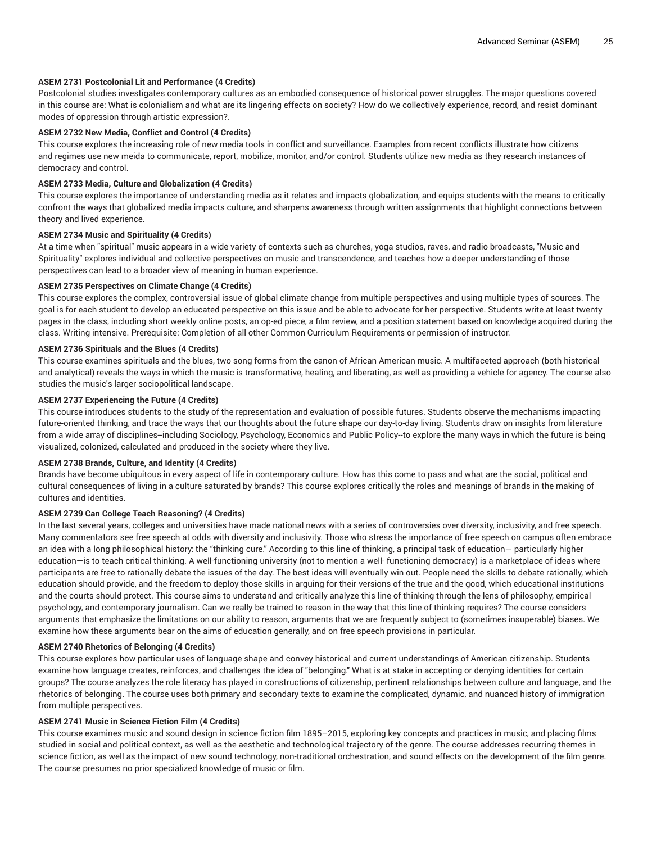## **ASEM 2731 Postcolonial Lit and Performance (4 Credits)**

Postcolonial studies investigates contemporary cultures as an embodied consequence of historical power struggles. The major questions covered in this course are: What is colonialism and what are its lingering effects on society? How do we collectively experience, record, and resist dominant modes of oppression through artistic expression?.

## **ASEM 2732 New Media, Conflict and Control (4 Credits)**

This course explores the increasing role of new media tools in conflict and surveillance. Examples from recent conflicts illustrate how citizens and regimes use new meida to communicate, report, mobilize, monitor, and/or control. Students utilize new media as they research instances of democracy and control.

## **ASEM 2733 Media, Culture and Globalization (4 Credits)**

This course explores the importance of understanding media as it relates and impacts globalization, and equips students with the means to critically confront the ways that globalized media impacts culture, and sharpens awareness through written assignments that highlight connections between theory and lived experience.

## **ASEM 2734 Music and Spirituality (4 Credits)**

At a time when "spiritual" music appears in a wide variety of contexts such as churches, yoga studios, raves, and radio broadcasts, "Music and Spirituality" explores individual and collective perspectives on music and transcendence, and teaches how a deeper understanding of those perspectives can lead to a broader view of meaning in human experience.

## **ASEM 2735 Perspectives on Climate Change (4 Credits)**

This course explores the complex, controversial issue of global climate change from multiple perspectives and using multiple types of sources. The goal is for each student to develop an educated perspective on this issue and be able to advocate for her perspective. Students write at least twenty pages in the class, including short weekly online posts, an op-ed piece, a film review, and a position statement based on knowledge acquired during the class. Writing intensive. Prerequisite: Completion of all other Common Curriculum Requirements or permission of instructor.

## **ASEM 2736 Spirituals and the Blues (4 Credits)**

This course examines spirituals and the blues, two song forms from the canon of African American music. A multifaceted approach (both historical and analytical) reveals the ways in which the music is transformative, healing, and liberating, as well as providing a vehicle for agency. The course also studies the music's larger sociopolitical landscape.

#### **ASEM 2737 Experiencing the Future (4 Credits)**

This course introduces students to the study of the representation and evaluation of possible futures. Students observe the mechanisms impacting future-oriented thinking, and trace the ways that our thoughts about the future shape our day-to-day living. Students draw on insights from literature from a wide array of disciplines--including Sociology, Psychology, Economics and Public Policy--to explore the many ways in which the future is being visualized, colonized, calculated and produced in the society where they live.

#### **ASEM 2738 Brands, Culture, and Identity (4 Credits)**

Brands have become ubiquitous in every aspect of life in contemporary culture. How has this come to pass and what are the social, political and cultural consequences of living in a culture saturated by brands? This course explores critically the roles and meanings of brands in the making of cultures and identities.

## **ASEM 2739 Can College Teach Reasoning? (4 Credits)**

In the last several years, colleges and universities have made national news with a series of controversies over diversity, inclusivity, and free speech. Many commentators see free speech at odds with diversity and inclusivity. Those who stress the importance of free speech on campus often embrace an idea with a long philosophical history: the "thinking cure." According to this line of thinking, a principal task of education— particularly higher education—is to teach critical thinking. A well-functioning university (not to mention a well- functioning democracy) is a marketplace of ideas where participants are free to rationally debate the issues of the day. The best ideas will eventually win out. People need the skills to debate rationally, which education should provide, and the freedom to deploy those skills in arguing for their versions of the true and the good, which educational institutions and the courts should protect. This course aims to understand and critically analyze this line of thinking through the lens of philosophy, empirical psychology, and contemporary journalism. Can we really be trained to reason in the way that this line of thinking requires? The course considers arguments that emphasize the limitations on our ability to reason, arguments that we are frequently subject to (sometimes insuperable) biases. We examine how these arguments bear on the aims of education generally, and on free speech provisions in particular.

#### **ASEM 2740 Rhetorics of Belonging (4 Credits)**

This course explores how particular uses of language shape and convey historical and current understandings of American citizenship. Students examine how language creates, reinforces, and challenges the idea of "belonging." What is at stake in accepting or denying identities for certain groups? The course analyzes the role literacy has played in constructions of citizenship, pertinent relationships between culture and language, and the rhetorics of belonging. The course uses both primary and secondary texts to examine the complicated, dynamic, and nuanced history of immigration from multiple perspectives.

#### **ASEM 2741 Music in Science Fiction Film (4 Credits)**

This course examines music and sound design in science fiction film 1895–2015, exploring key concepts and practices in music, and placing films studied in social and political context, as well as the aesthetic and technological trajectory of the genre. The course addresses recurring themes in science fiction, as well as the impact of new sound technology, non-traditional orchestration, and sound effects on the development of the film genre. The course presumes no prior specialized knowledge of music or film.